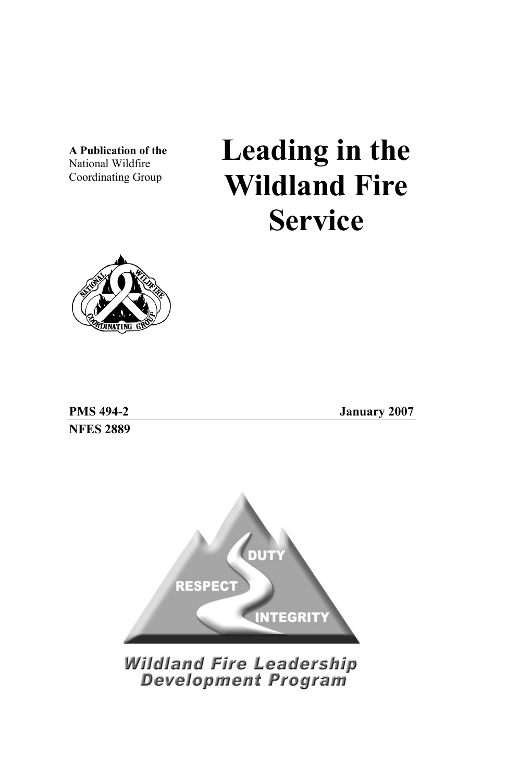A Publication of the National Wildfire<br>Coordinating Group

# **Leading in the Wildland Fire Service**



**NFES 2889** 

**PMS 494-2 January 2007** 



**Wildland Fire Leadership**<br>Development Program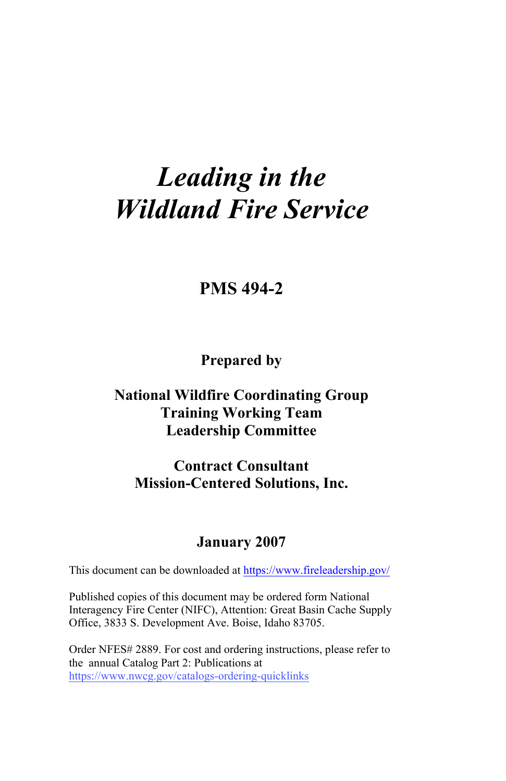# *Leading in the Wildland Fire Service*

#### **PMS 494-2**

**Prepared by** 

#### **National Wildfire Coordinating Group Training Working Team Leadership Committee**

#### **Contract Consultant Mission-Centered Solutions, Inc.**

#### **January 2007**

This document can be downloaded at https://www.fireleadership.gov/

Published copies of this document may be ordered form National Interagency Fire Center (NIFC), Attention: Great Basin Cache Supply Office, 3833 S. Development Ave. Boise, Idaho 83705.

Order NFES# 2889. For cost and ordering instructions, please refer to the annual Catalog Part 2: Publications at https://www.nwcg.gov/catalogs-ordering-quicklinks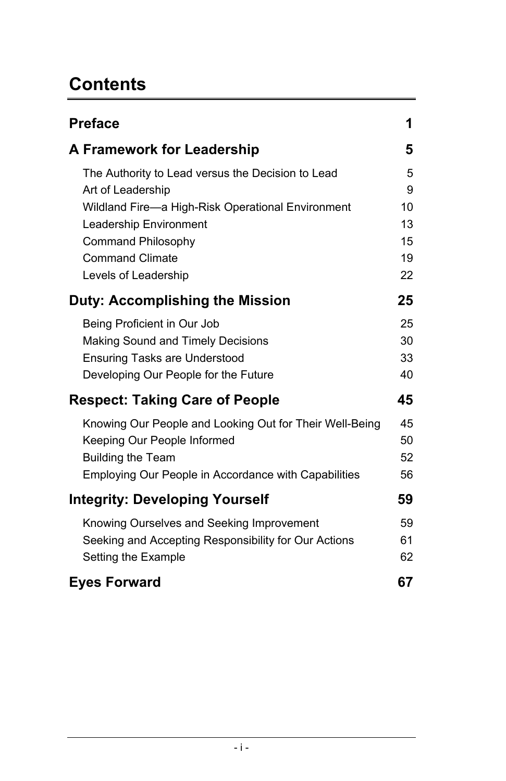## **Contents**

| <b>Preface</b>                                                                                                                                                                                        | 1                              |
|-------------------------------------------------------------------------------------------------------------------------------------------------------------------------------------------------------|--------------------------------|
| <b>A Framework for Leadership</b>                                                                                                                                                                     | 5                              |
| The Authority to Lead versus the Decision to Lead<br>Art of Leadership<br>Wildland Fire-a High-Risk Operational Environment<br>Leadership Environment<br>Command Philosophy<br><b>Command Climate</b> | 5<br>9<br>10<br>13<br>15<br>19 |
| Levels of Leadership                                                                                                                                                                                  | 22                             |
| Duty: Accomplishing the Mission                                                                                                                                                                       | 25                             |
| Being Proficient in Our Job<br>Making Sound and Timely Decisions<br><b>Ensuring Tasks are Understood</b><br>Developing Our People for the Future                                                      | 25<br>30<br>33<br>40           |
| <b>Respect: Taking Care of People</b>                                                                                                                                                                 | 45                             |
| Knowing Our People and Looking Out for Their Well-Being<br>Keeping Our People Informed<br><b>Building the Team</b><br>Employing Our People in Accordance with Capabilities                            | 45<br>50<br>52<br>56           |
| <b>Integrity: Developing Yourself</b>                                                                                                                                                                 | 59                             |
| Knowing Ourselves and Seeking Improvement<br>Seeking and Accepting Responsibility for Our Actions<br>Setting the Example                                                                              | 59<br>61<br>62                 |
| <b>Eyes Forward</b>                                                                                                                                                                                   | 67                             |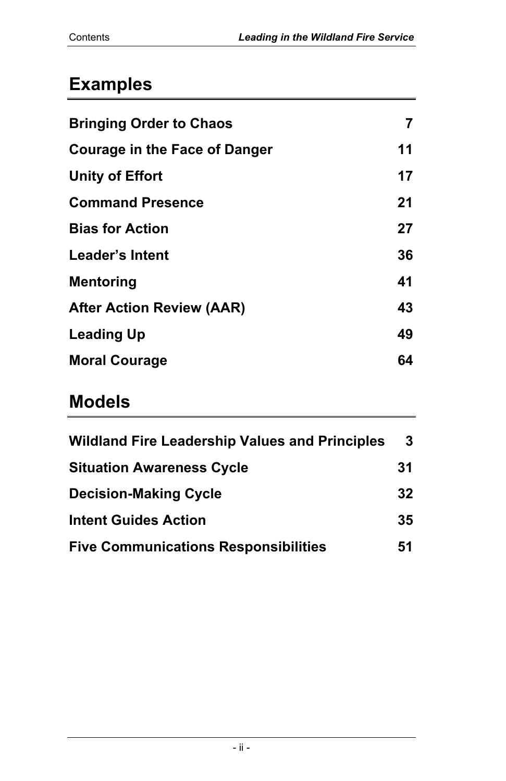## **Examples**

| <b>Bringing Order to Chaos</b>       | 7  |
|--------------------------------------|----|
| <b>Courage in the Face of Danger</b> | 11 |
| Unity of Effort                      | 17 |
| <b>Command Presence</b>              | 21 |
| <b>Bias for Action</b>               | 27 |
| Leader's Intent                      | 36 |
| <b>Mentoring</b>                     | 41 |
| <b>After Action Review (AAR)</b>     | 43 |
| <b>Leading Up</b>                    | 49 |
| <b>Moral Courage</b>                 | 64 |

## **Models**

| <b>Wildland Fire Leadership Values and Principles</b> | -3 |
|-------------------------------------------------------|----|
| <b>Situation Awareness Cycle</b>                      | 31 |
| <b>Decision-Making Cycle</b>                          | 32 |
| <b>Intent Guides Action</b>                           | 35 |
| <b>Five Communications Responsibilities</b>           | 51 |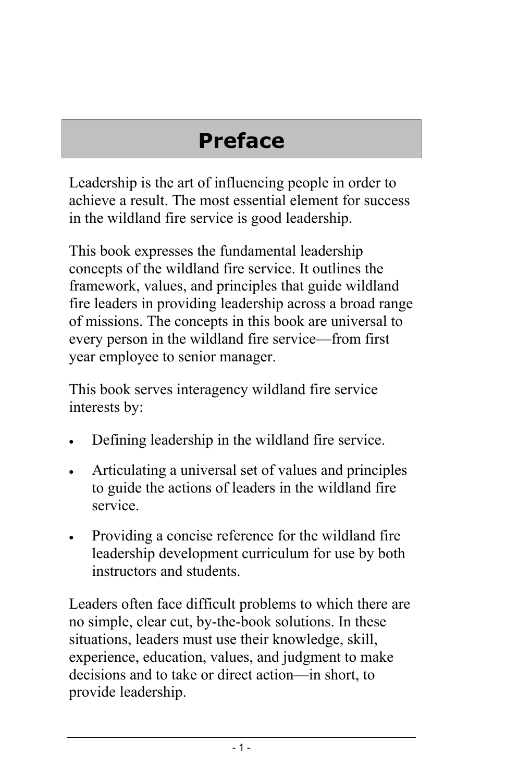## **Preface**

Leadership is the art of influencing people in order to achieve a result. The most essential element for success in the wildland fire service is good leadership.

This book expresses the fundamental leadership concepts of the wildland fire service. It outlines the framework, values, and principles that guide wildland fire leaders in providing leadership across a broad range of missions. The concepts in this book are universal to every person in the wildland fire service—from first year employee to senior manager.

This book serves interagency wildland fire service interests by:

- Defining leadership in the wildland fire service.
- Articulating a universal set of values and principles to guide the actions of leaders in the wildland fire service.
- Providing a concise reference for the wildland fire leadership development curriculum for use by both instructors and students.

Leaders often face difficult problems to which there are no simple, clear cut, by-the-book solutions. In these situations, leaders must use their knowledge, skill, experience, education, values, and judgment to make decisions and to take or direct action—in short, to provide leadership.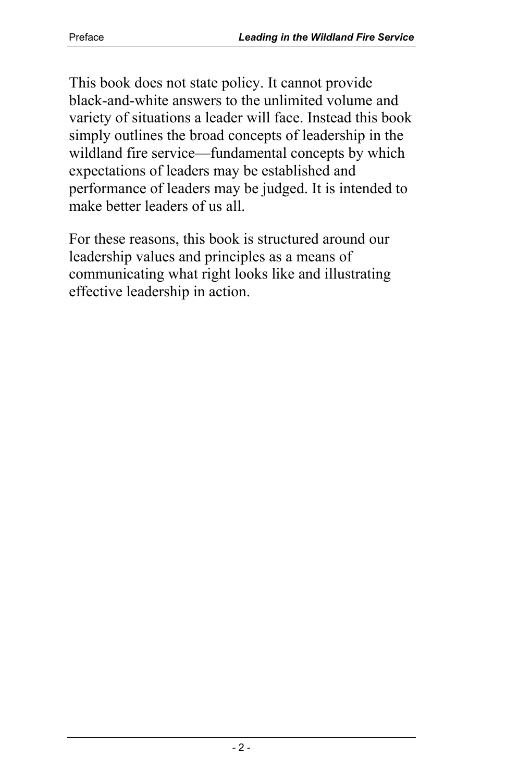This book does not state policy. It cannot provide black-and-white answers to the unlimited volume and variety of situations a leader will face. Instead this book simply outlines the broad concepts of leadership in the wildland fire service—fundamental concepts by which expectations of leaders may be established and performance of leaders may be judged. It is intended to make better leaders of us all.

For these reasons, this book is structured around our leadership values and principles as a means of communicating what right looks like and illustrating effective leadership in action.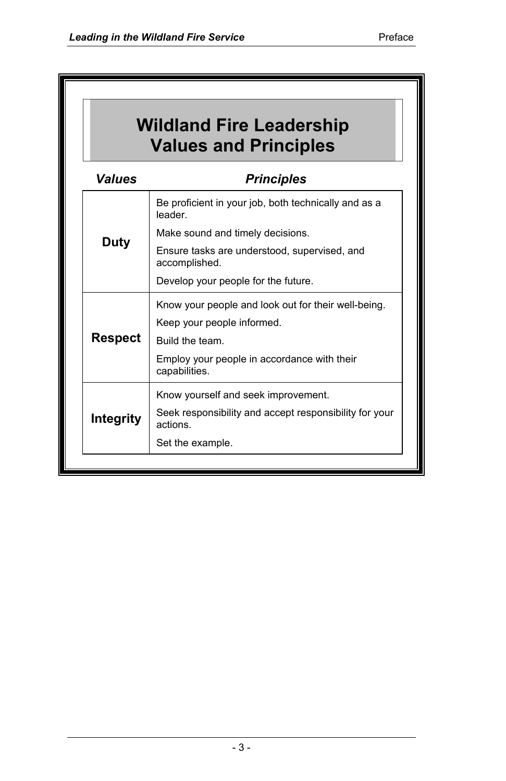| <b>Wildland Fire Leadership</b><br><b>Values and Principles</b> |                                                                   |  |
|-----------------------------------------------------------------|-------------------------------------------------------------------|--|
| <b>Values</b>                                                   | <b>Principles</b>                                                 |  |
|                                                                 | Be proficient in your job, both technically and as a<br>leader.   |  |
|                                                                 | Make sound and timely decisions.                                  |  |
| <b>Duty</b>                                                     | Ensure tasks are understood, supervised, and<br>accomplished.     |  |
|                                                                 | Develop your people for the future.                               |  |
| <b>Respect</b>                                                  | Know your people and look out for their well-being.               |  |
|                                                                 | Keep your people informed.                                        |  |
|                                                                 | Build the team.                                                   |  |
|                                                                 | Employ your people in accordance with their<br>capabilities.      |  |
|                                                                 | Know yourself and seek improvement.                               |  |
| Integrity                                                       | Seek responsibility and accept responsibility for your<br>actions |  |
|                                                                 | Set the example.                                                  |  |
|                                                                 |                                                                   |  |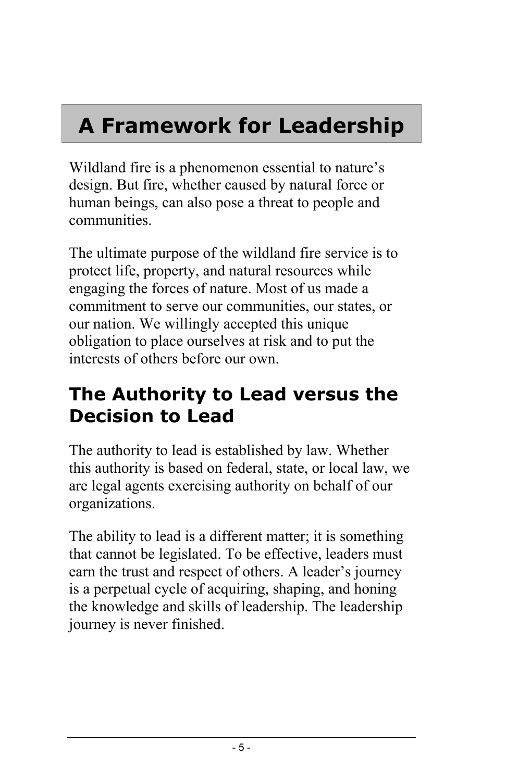# **A Framework for Leadership**

Wildland fire is a phenomenon essential to nature's design. But fire, whether caused by natural force or human beings, can also pose a threat to people and communities.

The ultimate purpose of the wildland fire service is to protect life, property, and natural resources while engaging the forces of nature. Most of us made a commitment to serve our communities, our states, or our nation. We willingly accepted this unique obligation to place ourselves at risk and to put the interests of others before our own.

## **The Authority to Lead versus the Decision to Lead**

The authority to lead is established by law. Whether this authority is based on federal, state, or local law, we are legal agents exercising authority on behalf of our organizations.

The ability to lead is a different matter; it is something that cannot be legislated. To be effective, leaders must earn the trust and respect of others. A leader's journey is a perpetual cycle of acquiring, shaping, and honing the knowledge and skills of leadership. The leadership journey is never finished.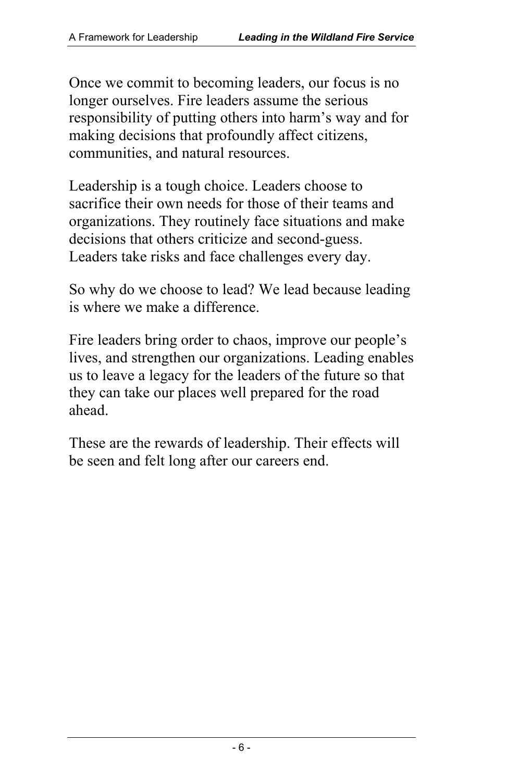Once we commit to becoming leaders, our focus is no longer ourselves. Fire leaders assume the serious responsibility of putting others into harm's way and for making decisions that profoundly affect citizens, communities, and natural resources.

Leadership is a tough choice. Leaders choose to sacrifice their own needs for those of their teams and organizations. They routinely face situations and make decisions that others criticize and second-guess. Leaders take risks and face challenges every day.

So why do we choose to lead? We lead because leading is where we make a difference.

Fire leaders bring order to chaos, improve our people's lives, and strengthen our organizations. Leading enables us to leave a legacy for the leaders of the future so that they can take our places well prepared for the road ahead.

These are the rewards of leadership. Their effects will be seen and felt long after our careers end.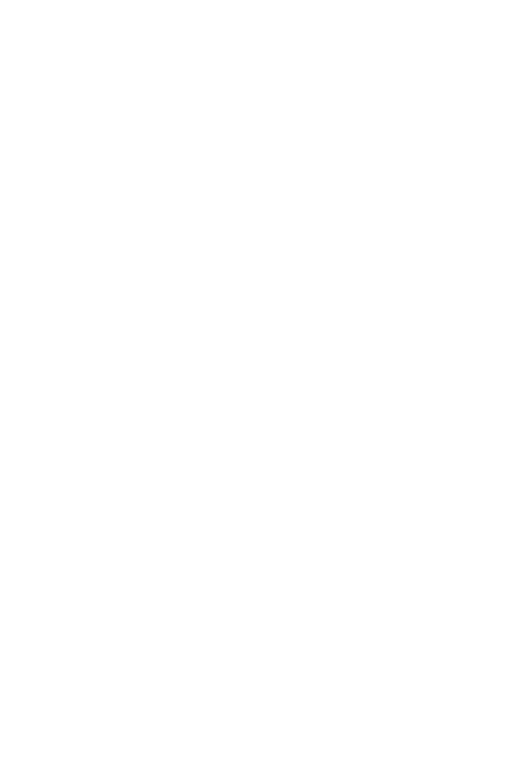# eading in the itdland ire ervice

**PMS 494-2** 

Prepared by

#### National Wildfire Coordinating Group **Training Working Team Leadership Committee**

**Contract Consultant** Mission-Centered Solutions, Inc.

January 2007

This document can be downloaded at KWWSV ZZZ ILUHOHDGHUVI

Published copies of this document may be ordered form ational InteragencyFire Center IFCCAttention: reat Basin Cache Supply Office, 3833 SDevelopment Ave. Boise, Idaho 83705.

Order EES 2889. For cost and ordering instructions, please refer the annual Catalog Part 2: Publications at KWWSV ZZZ QZFJ JRY FDWDORJV RUGHULQJ TXLF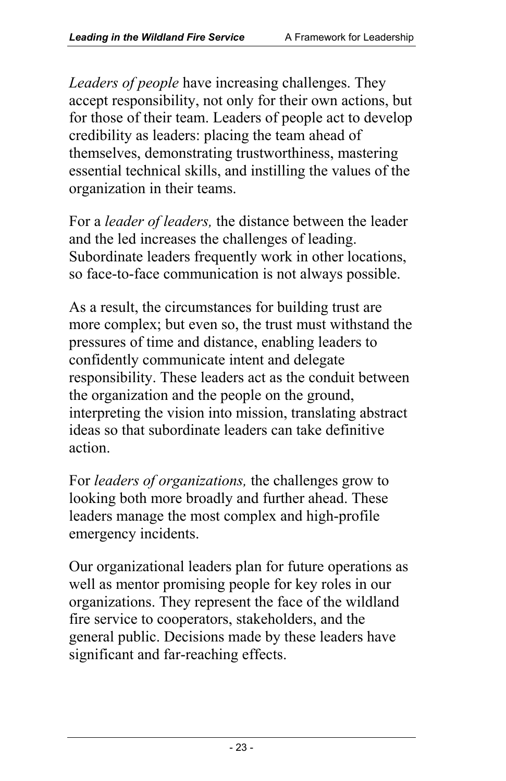*Leaders of people* have increasing challenges. They accept responsibility, not only for their own actions, but for those of their team. Leaders of people act to develop credibility as leaders: placing the team ahead of themselves, demonstrating trustworthiness, mastering essential technical skills, and instilling the values of the organization in their teams.

For a *leader of leaders,* the distance between the leader and the led increases the challenges of leading. Subordinate leaders frequently work in other locations, so face-to-face communication is not always possible.

As a result, the circumstances for building trust are more complex; but even so, the trust must withstand the pressures of time and distance, enabling leaders to confidently communicate intent and delegate responsibility. These leaders act as the conduit between the organization and the people on the ground, interpreting the vision into mission, translating abstract ideas so that subordinate leaders can take definitive action.

For *leaders of organizations,* the challenges grow to looking both more broadly and further ahead. These leaders manage the most complex and high-profile emergency incidents.

Our organizational leaders plan for future operations as well as mentor promising people for key roles in our organizations. They represent the face of the wildland fire service to cooperators, stakeholders, and the general public. Decisions made by these leaders have significant and far-reaching effects.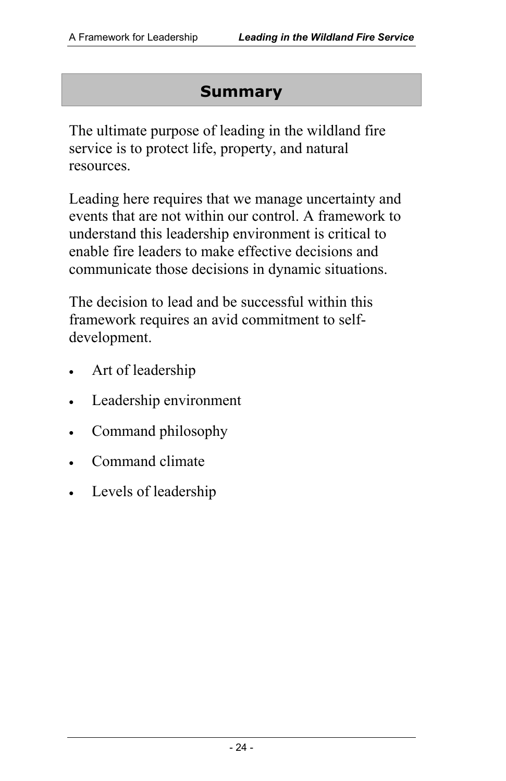#### **Summary**

The ultimate purpose of leading in the wildland fire service is to protect life, property, and natural resources.

Leading here requires that we manage uncertainty and events that are not within our control. A framework to understand this leadership environment is critical to enable fire leaders to make effective decisions and communicate those decisions in dynamic situations.

The decision to lead and be successful within this framework requires an avid commitment to selfdevelopment.

- Art of leadership
- Leadership environment
- Command philosophy
- Command climate
- Levels of leadership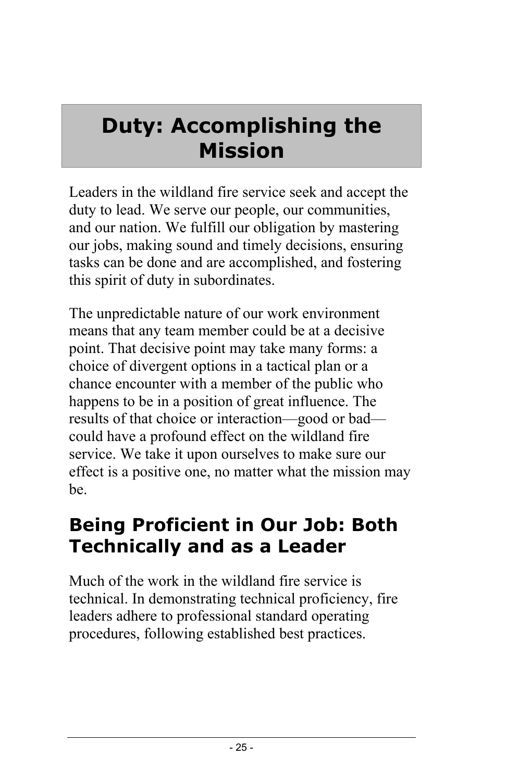# **Duty: Accomplishing the Mission**

Leaders in the wildland fire service seek and accept the duty to lead. We serve our people, our communities, and our nation. We fulfill our obligation by mastering our jobs, making sound and timely decisions, ensuring tasks can be done and are accomplished, and fostering this spirit of duty in subordinates.

The unpredictable nature of our work environment means that any team member could be at a decisive point. That decisive point may take many forms: a choice of divergent options in a tactical plan or a chance encounter with a member of the public who happens to be in a position of great influence. The results of that choice or interaction—good or bad could have a profound effect on the wildland fire service. We take it upon ourselves to make sure our effect is a positive one, no matter what the mission may be.

## **Being Proficient in Our Job: Both Technically and as a Leader**

Much of the work in the wildland fire service is technical. In demonstrating technical proficiency, fire leaders adhere to professional standard operating procedures, following established best practices.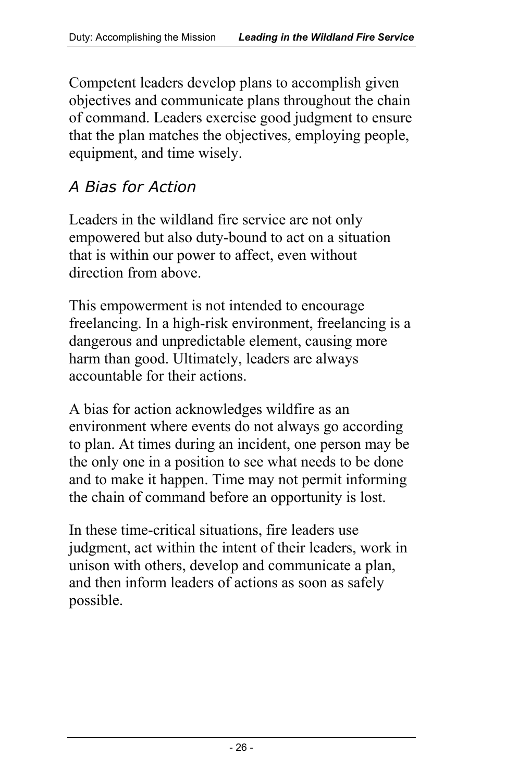Competent leaders develop plans to accomplish given objectives and communicate plans throughout the chain of command. Leaders exercise good judgment to ensure that the plan matches the objectives, employing people, equipment, and time wisely.

### *A Bias for Action*

Leaders in the wildland fire service are not only empowered but also duty-bound to act on a situation that is within our power to affect, even without direction from above.

This empowerment is not intended to encourage freelancing. In a high-risk environment, freelancing is a dangerous and unpredictable element, causing more harm than good. Ultimately, leaders are always accountable for their actions.

A bias for action acknowledges wildfire as an environment where events do not always go according to plan. At times during an incident, one person may be the only one in a position to see what needs to be done and to make it happen. Time may not permit informing the chain of command before an opportunity is lost.

In these time-critical situations, fire leaders use judgment, act within the intent of their leaders, work in unison with others, develop and communicate a plan, and then inform leaders of actions as soon as safely possible.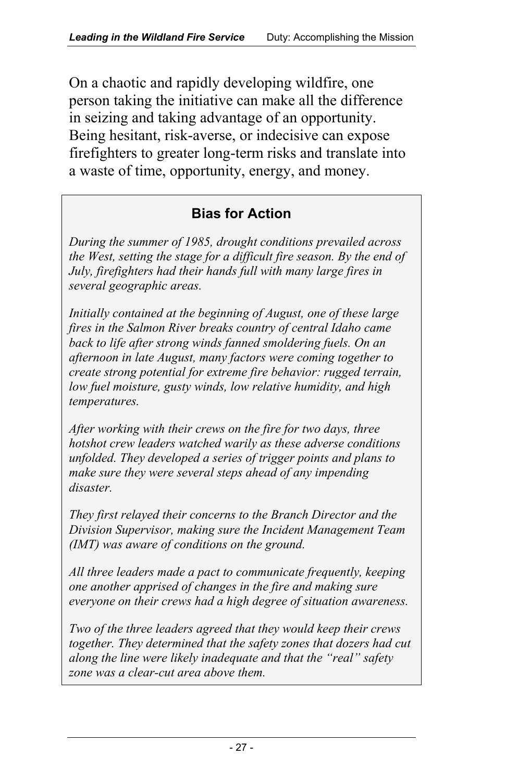On a chaotic and rapidly developing wildfire, one person taking the initiative can make all the difference in seizing and taking advantage of an opportunity. Being hesitant, risk-averse, or indecisive can expose firefighters to greater long-term risks and translate into a waste of time, opportunity, energy, and money.

#### **Bias for Action**

 *During the summer of 1985, drought conditions prevailed across the West, setting the stage for a difficult fire season. By the end of July, firefighters had their hands full with many large fires in several geographic areas.* 

 *fires in the Salmon River breaks country of central Idaho came low fuel moisture, gusty winds, low relative humidity, and high Initially contained at the beginning of August, one of these large back to life after strong winds fanned smoldering fuels. On an afternoon in late August, many factors were coming together to create strong potential for extreme fire behavior: rugged terrain, temperatures.* 

*After working with their crews on the fire for two days, three hotshot crew leaders watched warily as these adverse conditions unfolded. They developed a series of trigger points and plans to make sure they were several steps ahead of any impending disaster.* 

 *Division Supervisor, making sure the Incident Management Team They first relayed their concerns to the Branch Director and the (IMT) was aware of conditions on the ground.* 

 *All three leaders made a pact to communicate frequently, keeping one another apprised of changes in the fire and making sure everyone on their crews had a high degree of situation awareness.* 

*Two of the three leaders agreed that they would keep their crews together. They determined that the safety zones that dozers had cut along the line were likely inadequate and that the "real" safety zone was a clear-cut area above them.*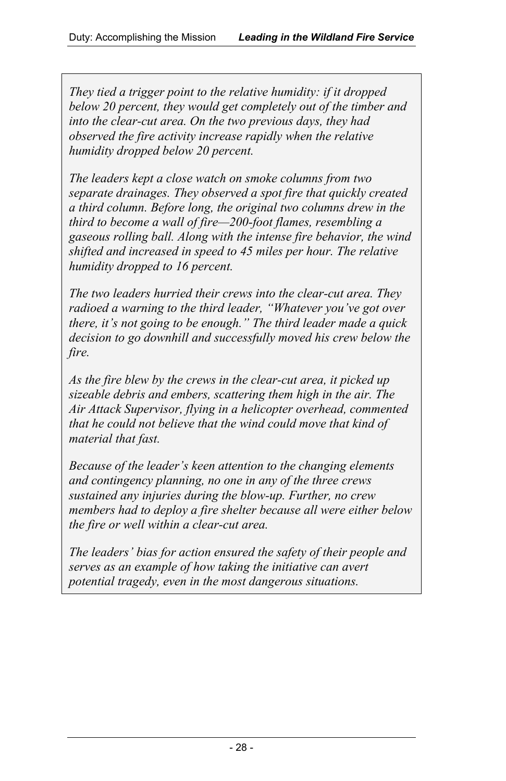*They tied a trigger point to the relative humidity: if it dropped below 20 percent, they would get completely out of the timber and into the clear-cut area. On the two previous days, they had observed the fire activity increase rapidly when the relative humidity dropped below 20 percent.* 

 *humidity dropped to 16 percent. The leaders kept a close watch on smoke columns from two separate drainages. They observed a spot fire that quickly created a third column. Before long, the original two columns drew in the third to become a wall of fire—200-foot flames, resembling a gaseous rolling ball. Along with the intense fire behavior, the wind shifted and increased in speed to 45 miles per hour. The relative* 

 *there, it's not going to be enough." The third leader made a quick The two leaders hurried their crews into the clear-cut area. They radioed a warning to the third leader, "Whatever you've got over decision to go downhill and successfully moved his crew below the fire.* 

*As the fire blew by the crews in the clear-cut area, it picked up sizeable debris and embers, scattering them high in the air. The Air Attack Supervisor, flying in a helicopter overhead, commented that he could not believe that the wind could move that kind of material that fast.* 

 *and contingency planning, no one in any of the three crews sustained any injuries during the blow-up. Further, no crew Because of the leader's keen attention to the changing elements members had to deploy a fire shelter because all were either below the fire or well within a clear-cut area.* 

*The leaders' bias for action ensured the safety of their people and serves as an example of how taking the initiative can avert potential tragedy, even in the most dangerous situations.*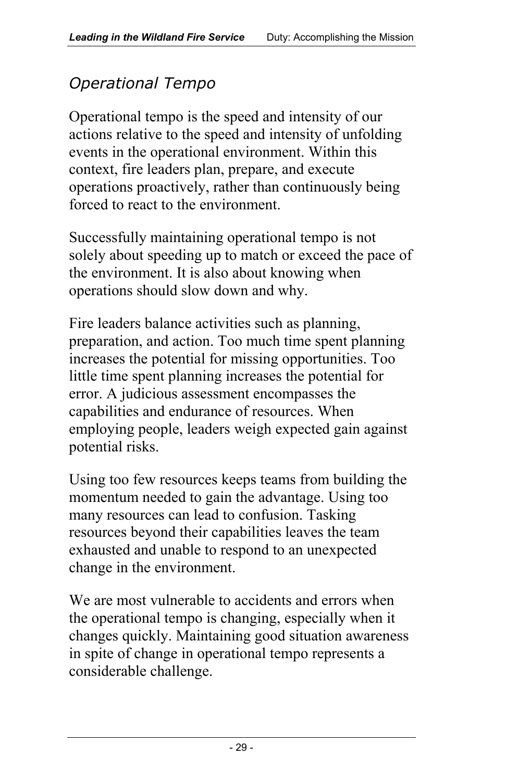#### *Operational Tempo*

Operational tempo is the speed and intensity of our actions relative to the speed and intensity of unfolding events in the operational environment. Within this context, fire leaders plan, prepare, and execute operations proactively, rather than continuously being forced to react to the environment.

Successfully maintaining operational tempo is not solely about speeding up to match or exceed the pace of the environment. It is also about knowing when operations should slow down and why.

Fire leaders balance activities such as planning, preparation, and action. Too much time spent planning increases the potential for missing opportunities. Too little time spent planning increases the potential for error. A judicious assessment encompasses the capabilities and endurance of resources. When employing people, leaders weigh expected gain against potential risks.

Using too few resources keeps teams from building the momentum needed to gain the advantage. Using too many resources can lead to confusion. Tasking resources beyond their capabilities leaves the team exhausted and unable to respond to an unexpected change in the environment.

We are most vulnerable to accidents and errors when the operational tempo is changing, especially when it changes quickly. Maintaining good situation awareness in spite of change in operational tempo represents a considerable challenge.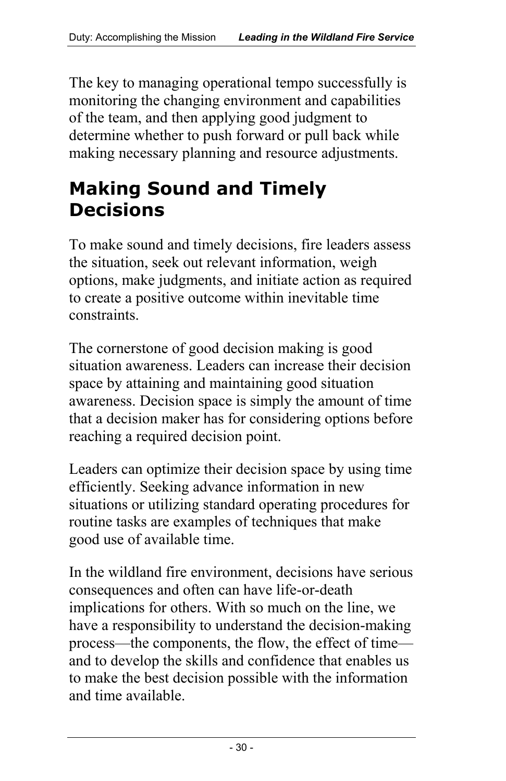The key to managing operational tempo successfully is monitoring the changing environment and capabilities of the team, and then applying good judgment to determine whether to push forward or pull back while making necessary planning and resource adjustments.

## **Making Sound and Timely Decisions**

To make sound and timely decisions, fire leaders assess the situation, seek out relevant information, weigh options, make judgments, and initiate action as required to create a positive outcome within inevitable time constraints.

The cornerstone of good decision making is good situation awareness. Leaders can increase their decision space by attaining and maintaining good situation awareness. Decision space is simply the amount of time that a decision maker has for considering options before reaching a required decision point.

Leaders can optimize their decision space by using time efficiently. Seeking advance information in new situations or utilizing standard operating procedures for routine tasks are examples of techniques that make good use of available time.

In the wildland fire environment, decisions have serious consequences and often can have life-or-death implications for others. With so much on the line, we have a responsibility to understand the decision-making process—the components, the flow, the effect of time and to develop the skills and confidence that enables us to make the best decision possible with the information and time available.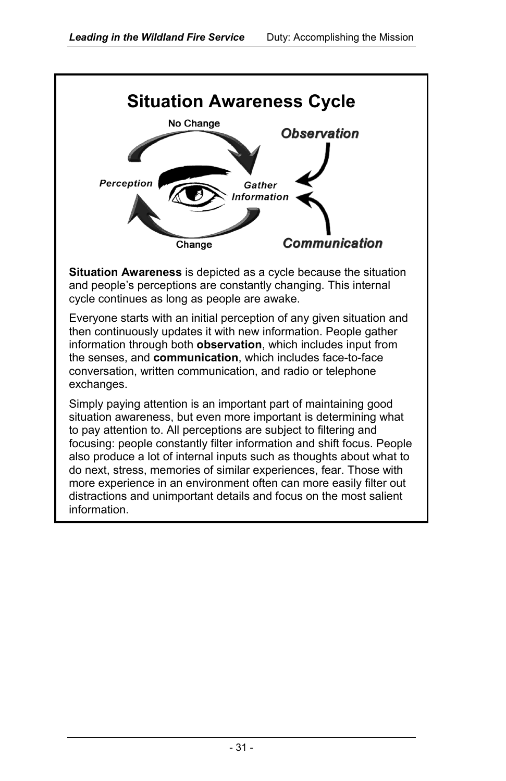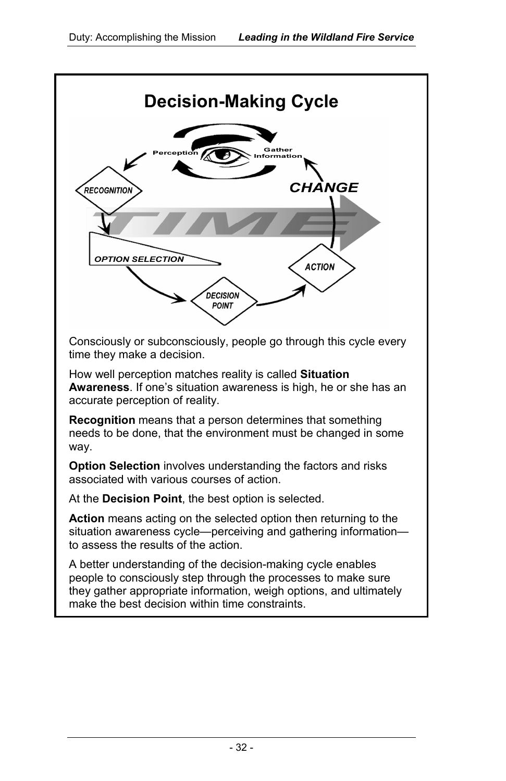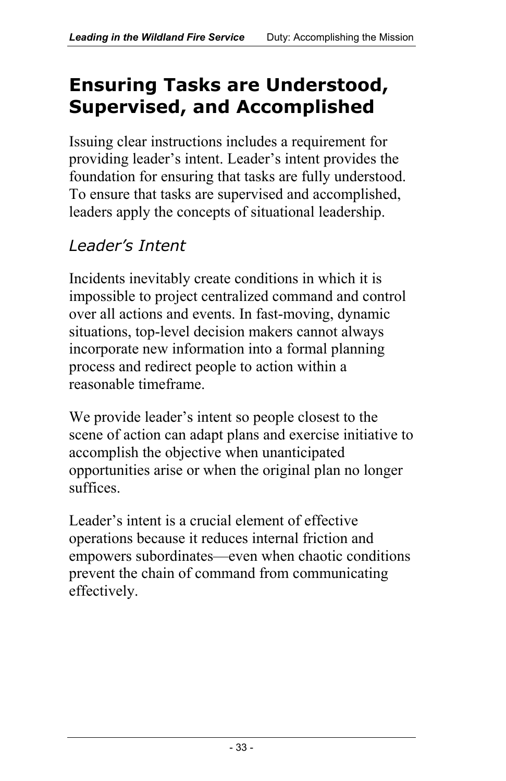## **Ensuring Tasks are Understood, Supervised, and Accomplished**

Issuing clear instructions includes a requirement for providing leader's intent. Leader's intent provides the foundation for ensuring that tasks are fully understood. To ensure that tasks are supervised and accomplished, leaders apply the concepts of situational leadership.

## *Leader's Intent*

Incidents inevitably create conditions in which it is impossible to project centralized command and control over all actions and events. In fast-moving, dynamic situations, top-level decision makers cannot always incorporate new information into a formal planning process and redirect people to action within a reasonable timeframe.

We provide leader's intent so people closest to the scene of action can adapt plans and exercise initiative to accomplish the objective when unanticipated opportunities arise or when the original plan no longer suffices.

Leader's intent is a crucial element of effective operations because it reduces internal friction and empowers subordinates—even when chaotic conditions prevent the chain of command from communicating effectively.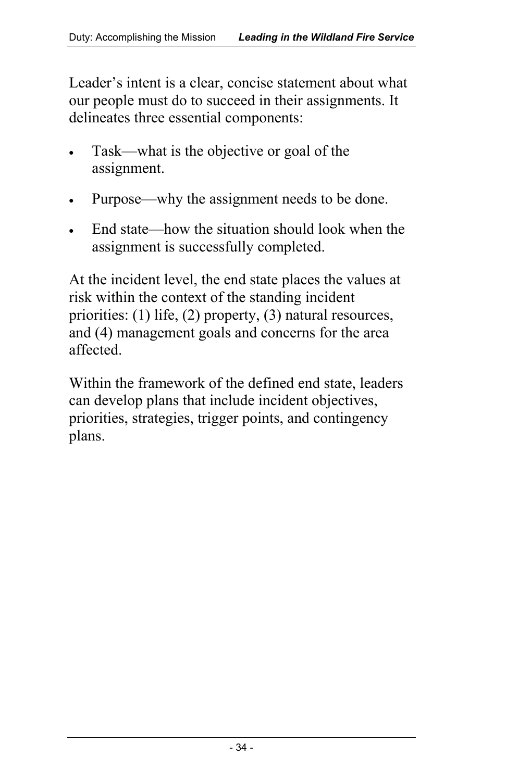Leader's intent is a clear, concise statement about what our people must do to succeed in their assignments. It delineates three essential components:

- Task—what is the objective or goal of the assignment.
- Purpose—why the assignment needs to be done.
- End state—how the situation should look when the assignment is successfully completed.

At the incident level, the end state places the values at risk within the context of the standing incident priorities: (1) life, (2) property, (3) natural resources, and (4) management goals and concerns for the area affected.

Within the framework of the defined end state, leaders can develop plans that include incident objectives, priorities, strategies, trigger points, and contingency plans.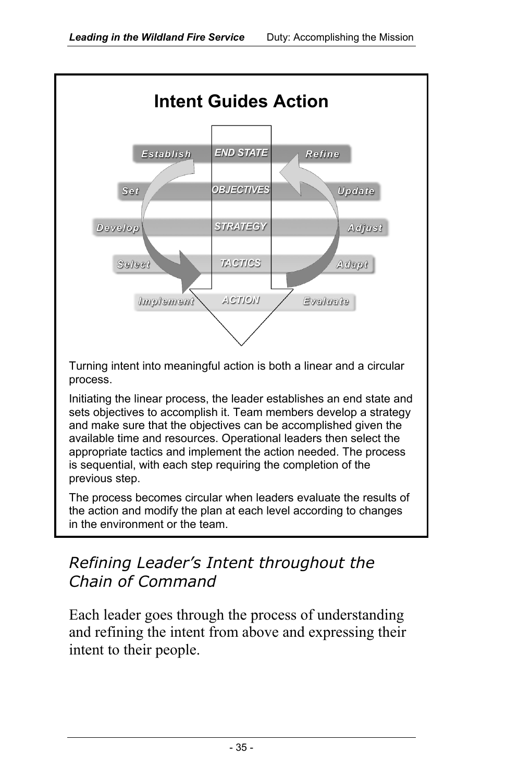

Turning intent into meaningful action is both a linear and a circular process.

Initiating the linear process, the leader establishes an end state and sets objectives to accomplish it. Team members develop a strategy and make sure that the objectives can be accomplished given the available time and resources. Operational leaders then select the appropriate tactics and implement the action needed. The process is sequential, with each step requiring the completion of the previous step.

The process becomes circular when leaders evaluate the results of the action and modify the plan at each level according to changes in the environment or the team.

## *Refining Leader's Intent throughout the Chain of Command*

Each leader goes through the process of understanding and refining the intent from above and expressing their intent to their people.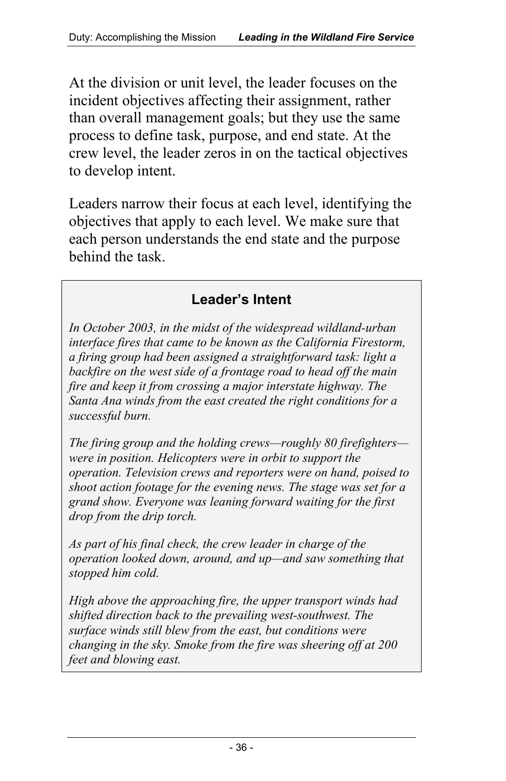At the division or unit level, the leader focuses on the incident objectives affecting their assignment, rather than overall management goals; but they use the same process to define task, purpose, and end state. At the crew level, the leader zeros in on the tactical objectives to develop intent.

Leaders narrow their focus at each level, identifying the objectives that apply to each level. We make sure that each person understands the end state and the purpose behind the task.

#### **Leader's Intent**

 *interface fires that came to be known as the California Firestorm, a firing group had been assigned a straightforward task: light a backfire on the west side of a frontage road to head off the main Santa Ana winds from the east created the right conditions for a In October 2003, in the midst of the widespread wildland-urban fire and keep it from crossing a major interstate highway. The successful burn.* 

 *were in position. Helicopters were in orbit to support the The firing group and the holding crews—roughly 80 firefighters operation. Television crews and reporters were on hand, poised to shoot action footage for the evening news. The stage was set for a grand show. Everyone was leaning forward waiting for the first drop from the drip torch.* 

*As part of his final check, the crew leader in charge of the operation looked down, around, and up—and saw something that stopped him cold.* 

*High above the approaching fire, the upper transport winds had shifted direction back to the prevailing west-southwest. The surface winds still blew from the east, but conditions were changing in the sky. Smoke from the fire was sheering off at 200 feet and blowing east.*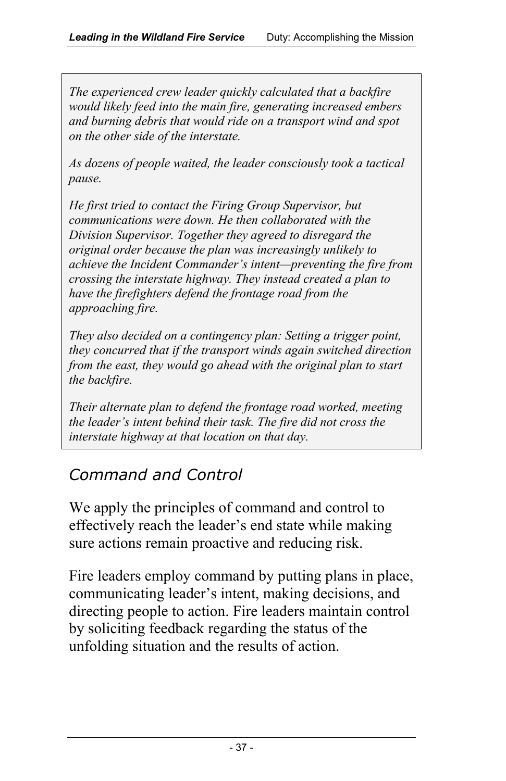*and burning debris that would ride on a transport wind and spot The experienced crew leader quickly calculated that a backfire would likely feed into the main fire, generating increased embers on the other side of the interstate.* 

*As dozens of people waited, the leader consciously took a tactical* 

 *original order because the plan was increasingly unlikely to pause. He first tried to contact the Firing Group Supervisor, but communications were down. He then collaborated with the Division Supervisor. Together they agreed to disregard the achieve the Incident Commander's intent—preventing the fire from crossing the interstate highway. They instead created a plan to have the firefighters defend the frontage road from the approaching fire.* 

 *They also decided on a contingency plan: Setting a trigger point, from the east, they would go ahead with the original plan to start they concurred that if the transport winds again switched direction the backfire.* 

*Their alternate plan to defend the frontage road worked, meeting the leader's intent behind their task. The fire did not cross the interstate highway at that location on that day.* 

## *Command and Control*

We apply the principles of command and control to effectively reach the leader's end state while making sure actions remain proactive and reducing risk.

Fire leaders employ command by putting plans in place, communicating leader's intent, making decisions, and directing people to action. Fire leaders maintain control by soliciting feedback regarding the status of the unfolding situation and the results of action.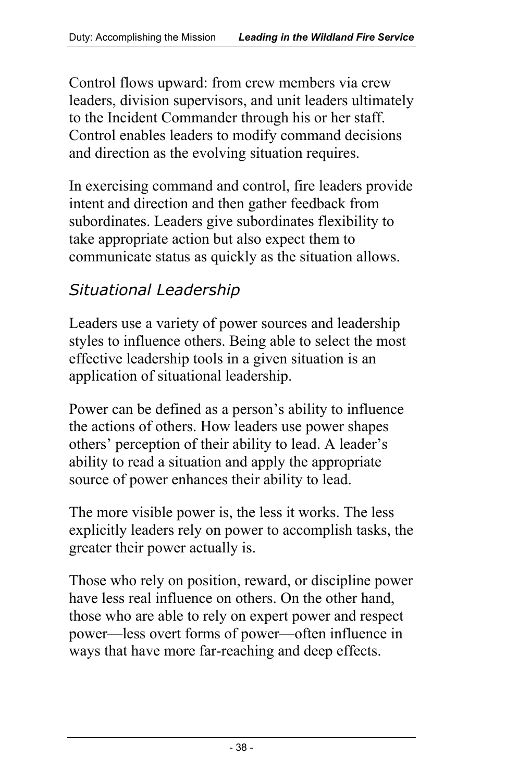Control flows upward: from crew members via crew leaders, division supervisors, and unit leaders ultimately to the Incident Commander through his or her staff. Control enables leaders to modify command decisions and direction as the evolving situation requires.

In exercising command and control, fire leaders provide intent and direction and then gather feedback from subordinates. Leaders give subordinates flexibility to take appropriate action but also expect them to communicate status as quickly as the situation allows.

## *Situational Leadership*

Leaders use a variety of power sources and leadership styles to influence others. Being able to select the most effective leadership tools in a given situation is an application of situational leadership.

Power can be defined as a person's ability to influence the actions of others. How leaders use power shapes others' perception of their ability to lead. A leader's ability to read a situation and apply the appropriate source of power enhances their ability to lead.

The more visible power is, the less it works. The less explicitly leaders rely on power to accomplish tasks, the greater their power actually is.

Those who rely on position, reward, or discipline power have less real influence on others. On the other hand, those who are able to rely on expert power and respect power—less overt forms of power—often influence in ways that have more far-reaching and deep effects.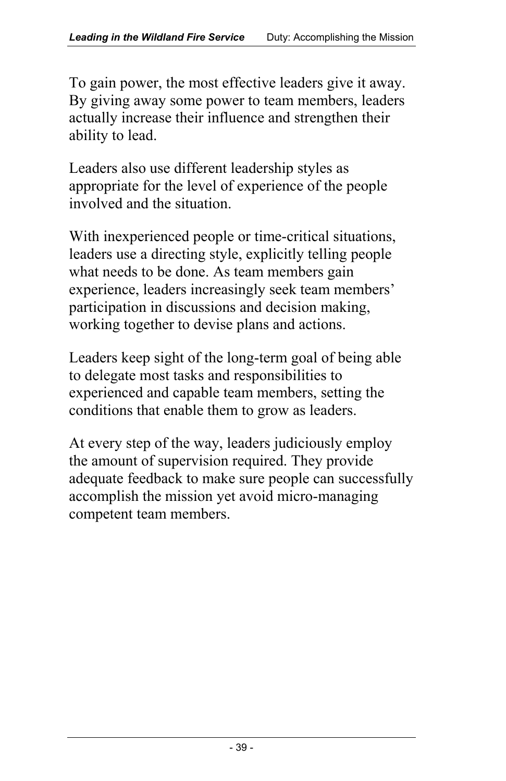To gain power, the most effective leaders give it away. By giving away some power to team members, leaders actually increase their influence and strengthen their ability to lead.

Leaders also use different leadership styles as appropriate for the level of experience of the people involved and the situation.

With inexperienced people or time-critical situations, leaders use a directing style, explicitly telling people what needs to be done. As team members gain experience, leaders increasingly seek team members' participation in discussions and decision making, working together to devise plans and actions.

Leaders keep sight of the long-term goal of being able to delegate most tasks and responsibilities to experienced and capable team members, setting the conditions that enable them to grow as leaders.

At every step of the way, leaders judiciously employ the amount of supervision required. They provide adequate feedback to make sure people can successfully accomplish the mission yet avoid micro-managing competent team members.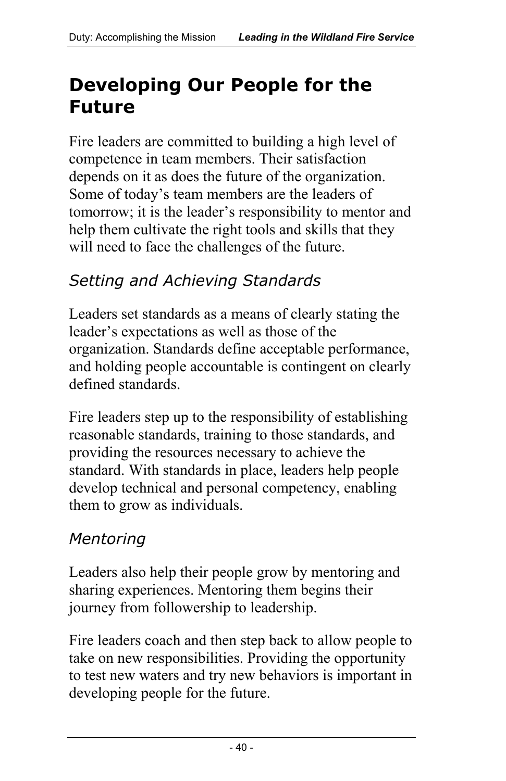## **Developing Our People for the Future**

Fire leaders are committed to building a high level of competence in team members. Their satisfaction depends on it as does the future of the organization. Some of today's team members are the leaders of tomorrow; it is the leader's responsibility to mentor and help them cultivate the right tools and skills that they will need to face the challenges of the future.

## *Setting and Achieving Standards*

Leaders set standards as a means of clearly stating the leader's expectations as well as those of the organization. Standards define acceptable performance, and holding people accountable is contingent on clearly defined standards.

Fire leaders step up to the responsibility of establishing reasonable standards, training to those standards, and providing the resources necessary to achieve the standard. With standards in place, leaders help people develop technical and personal competency, enabling them to grow as individuals.

## *Mentoring*

Leaders also help their people grow by mentoring and sharing experiences. Mentoring them begins their journey from followership to leadership.

Fire leaders coach and then step back to allow people to take on new responsibilities. Providing the opportunity to test new waters and try new behaviors is important in developing people for the future.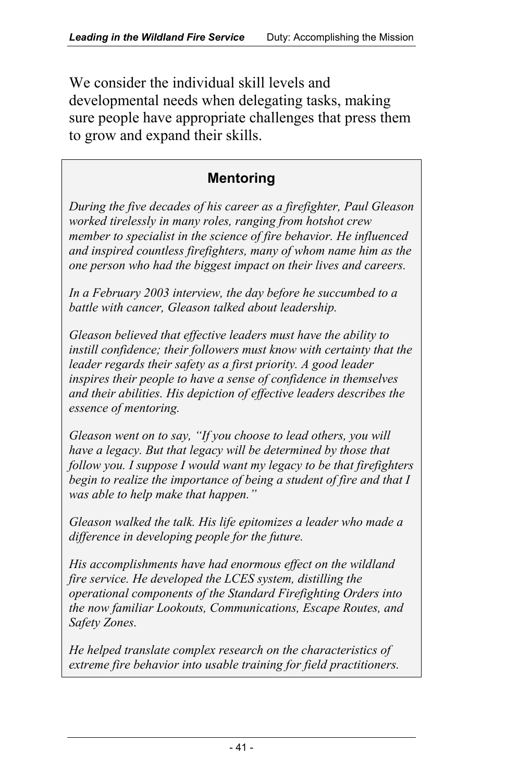We consider the individual skill levels and developmental needs when delegating tasks, making sure people have appropriate challenges that press them to grow and expand their skills.

#### **Mentoring**

 *and inspired countless firefighters, many of whom name him as the one person who had the biggest impact on their lives and careers. In a February 2003 interview, the day before he succumbed to a During the five decades of his career as a firefighter, Paul Gleason worked tirelessly in many roles, ranging from hotshot crew member to specialist in the science of fire behavior. He influenced* 

*battle with cancer, Gleason talked about leadership.* 

*Gleason believed that effective leaders must have the ability to instill confidence; their followers must know with certainty that the leader regards their safety as a first priority. A good leader inspires their people to have a sense of confidence in themselves and their abilities. His depiction of effective leaders describes the essence of mentoring.* 

 *Gleason went on to say, "If you choose to lead others, you will was able to help make that happen." have a legacy. But that legacy will be determined by those that follow you. I suppose I would want my legacy to be that firefighters begin to realize the importance of being a student of fire and that I* 

 *Gleason walked the talk. His life epitomizes a leader who made a difference in developing people for the future.* 

*His accomplishments have had enormous effect on the wildland fire service. He developed the LCES system, distilling the operational components of the Standard Firefighting Orders into the now familiar Lookouts, Communications, Escape Routes, and Safety Zones.*<br>He helped translate complex research on the characteristics of

*extreme fire behavior into usable training for field practitioners.*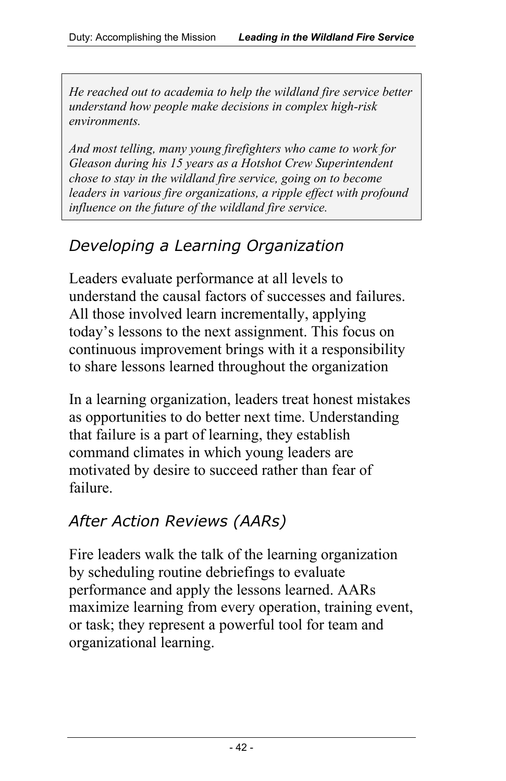*He reached out to academia to help the wildland fire service better understand how people make decisions in complex high-risk environments.* 

 *And most telling, many young firefighters who came to work for Gleason during his 15 years as a Hotshot Crew Superintendent chose to stay in the wildland fire service, going on to become leaders in various fire organizations, a ripple effect with profound influence on the future of the wildland fire service.* 

## *Developing a Learning Organization*

Leaders evaluate performance at all levels to understand the causal factors of successes and failures. All those involved learn incrementally, applying today's lessons to the next assignment. This focus on continuous improvement brings with it a responsibility to share lessons learned throughout the organization

In a learning organization, leaders treat honest mistakes as opportunities to do better next time. Understanding that failure is a part of learning, they establish command climates in which young leaders are motivated by desire to succeed rather than fear of failure.

## *After Action Reviews (AARs)*

Fire leaders walk the talk of the learning organization by scheduling routine debriefings to evaluate performance and apply the lessons learned. AARs maximize learning from every operation, training event, or task; they represent a powerful tool for team and organizational learning.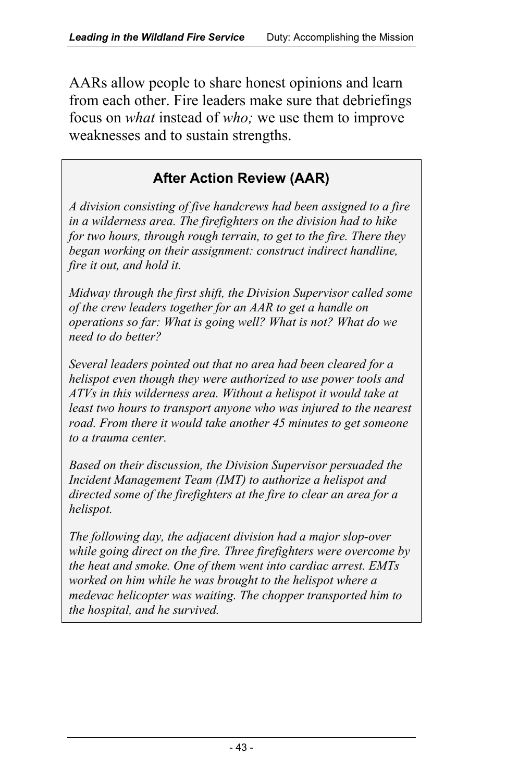AARs allow people to share honest opinions and learn from each other. Fire leaders make sure that debriefings focus on *what* instead of *who;* we use them to improve weaknesses and to sustain strengths.

#### **After Action Review (AAR)**

*A division consisting of five handcrews had been assigned to a fire in a wilderness area. The firefighters on the division had to hike for two hours, through rough terrain, to get to the fire. There they began working on their assignment: construct indirect handline, fire it out, and hold it.* 

*Midway through the first shift, the Division Supervisor called some of the crew leaders together for an AAR to get a handle on operations so far: What is going well? What is not? What do we need to do better?* 

least two hours to transport anyone who was injured to the nearest  *road. From there it would take another 45 minutes to get someone Several leaders pointed out that no area had been cleared for a helispot even though they were authorized to use power tools and ATVs in this wilderness area. Without a helispot it would take at to a trauma center.* 

*Based on their discussion, the Division Supervisor persuaded the Incident Management Team (IMT) to authorize a helispot and directed some of the firefighters at the fire to clear an area for a helispot.* 

 *The following day, the adjacent division had a major slop-over the heat and smoke. One of them went into cardiac arrest. EMTs medevac helicopter was waiting. The chopper transported him to while going direct on the fire. Three firefighters were overcome by worked on him while he was brought to the helispot where a the hospital, and he survived.*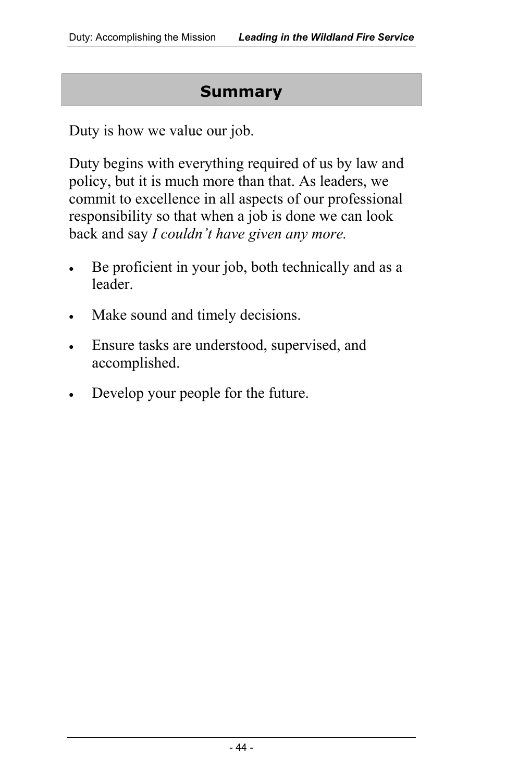#### **Summary**

Duty is how we value our job.

Duty begins with everything required of us by law and policy, but it is much more than that. As leaders, we commit to excellence in all aspects of our professional responsibility so that when a job is done we can look back and say *I couldn't have given any more.* 

- Be proficient in your job, both technically and as a leader.
- Make sound and timely decisions.
- Ensure tasks are understood, supervised, and accomplished.
- Develop your people for the future.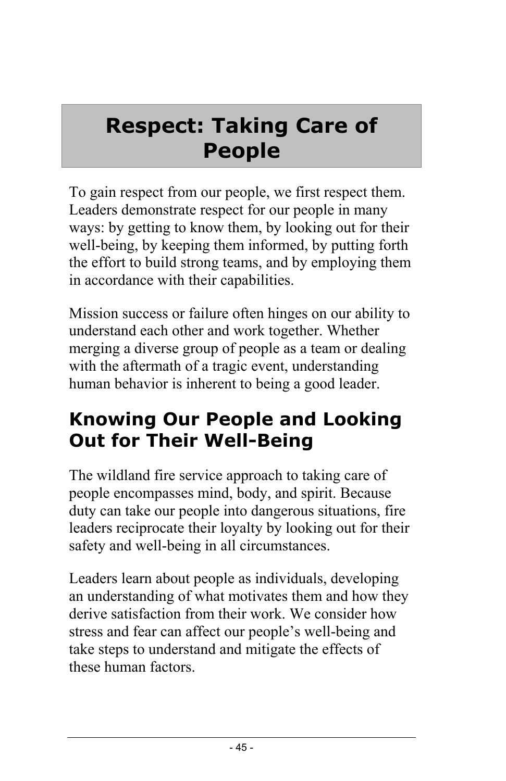# **Respect: Taking Care of People**

To gain respect from our people, we first respect them. Leaders demonstrate respect for our people in many ways: by getting to know them, by looking out for their well-being, by keeping them informed, by putting forth the effort to build strong teams, and by employing them in accordance with their capabilities.

Mission success or failure often hinges on our ability to understand each other and work together. Whether merging a diverse group of people as a team or dealing with the aftermath of a tragic event, understanding human behavior is inherent to being a good leader.

# **Knowing Our People and Looking Out for Their Well-Being**

The wildland fire service approach to taking care of people encompasses mind, body, and spirit. Because duty can take our people into dangerous situations, fire leaders reciprocate their loyalty by looking out for their safety and well-being in all circumstances.

Leaders learn about people as individuals, developing an understanding of what motivates them and how they derive satisfaction from their work. We consider how stress and fear can affect our people's well-being and take steps to understand and mitigate the effects of these human factors.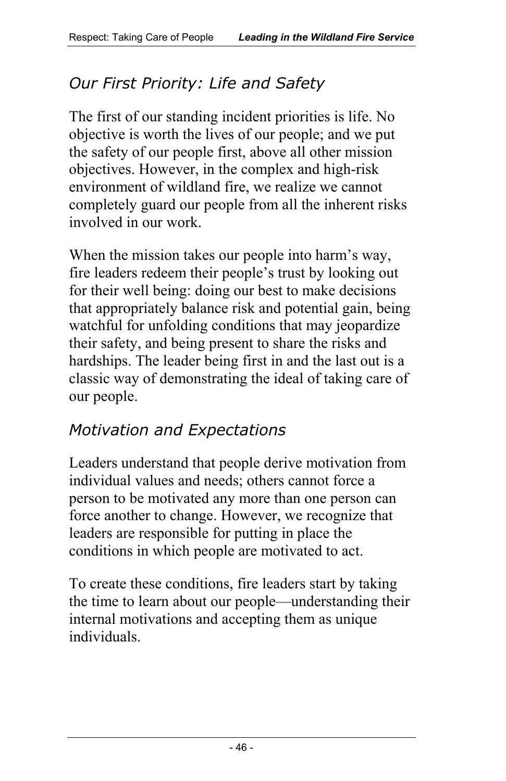## *Our First Priority: Life and Safety*

The first of our standing incident priorities is life. No objective is worth the lives of our people; and we put the safety of our people first, above all other mission objectives. However, in the complex and high-risk environment of wildland fire, we realize we cannot completely guard our people from all the inherent risks involved in our work.

When the mission takes our people into harm's way, fire leaders redeem their people's trust by looking out for their well being: doing our best to make decisions that appropriately balance risk and potential gain, being watchful for unfolding conditions that may jeopardize their safety, and being present to share the risks and hardships. The leader being first in and the last out is a classic way of demonstrating the ideal of taking care of our people.

## *Motivation and Expectations*

Leaders understand that people derive motivation from individual values and needs; others cannot force a person to be motivated any more than one person can force another to change. However, we recognize that leaders are responsible for putting in place the conditions in which people are motivated to act.

To create these conditions, fire leaders start by taking the time to learn about our people—understanding their internal motivations and accepting them as unique individuals.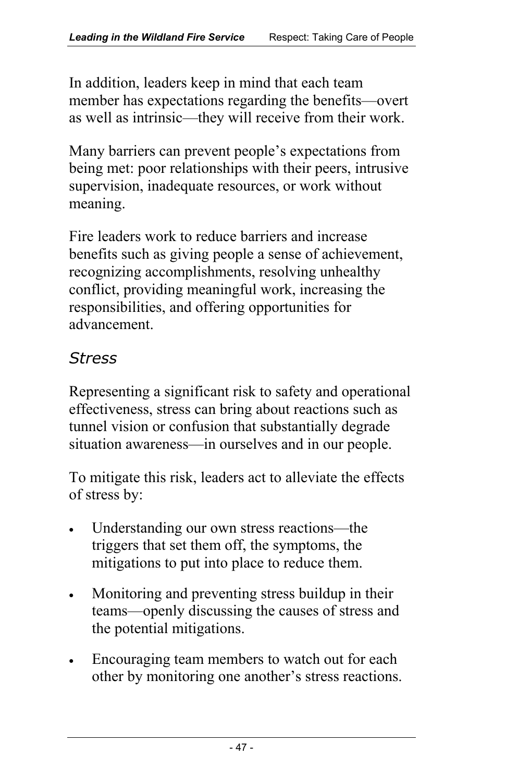In addition, leaders keep in mind that each team member has expectations regarding the benefits—overt as well as intrinsic—they will receive from their work.

Many barriers can prevent people's expectations from being met: poor relationships with their peers, intrusive supervision, inadequate resources, or work without meaning.

Fire leaders work to reduce barriers and increase benefits such as giving people a sense of achievement, recognizing accomplishments, resolving unhealthy conflict, providing meaningful work, increasing the responsibilities, and offering opportunities for advancement.

#### *Stress*

Representing a significant risk to safety and operational effectiveness, stress can bring about reactions such as tunnel vision or confusion that substantially degrade situation awareness—in ourselves and in our people.

To mitigate this risk, leaders act to alleviate the effects of stress by:

- Understanding our own stress reactions—the triggers that set them off, the symptoms, the mitigations to put into place to reduce them.
- Monitoring and preventing stress buildup in their teams—openly discussing the causes of stress and the potential mitigations.
- Encouraging team members to watch out for each other by monitoring one another's stress reactions.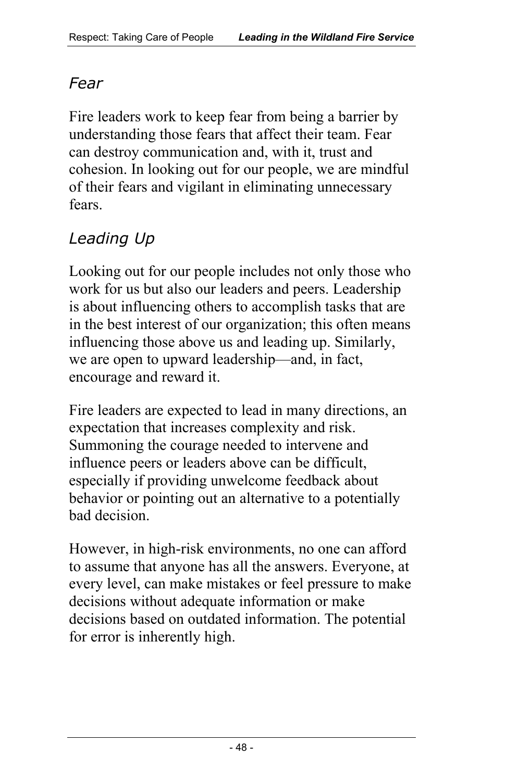#### *Fear*

Fire leaders work to keep fear from being a barrier by understanding those fears that affect their team. Fear can destroy communication and, with it, trust and cohesion. In looking out for our people, we are mindful of their fears and vigilant in eliminating unnecessary fears.

## *Leading Up*

Looking out for our people includes not only those who work for us but also our leaders and peers. Leadership is about influencing others to accomplish tasks that are in the best interest of our organization; this often means influencing those above us and leading up. Similarly, we are open to upward leadership—and, in fact, encourage and reward it.

Fire leaders are expected to lead in many directions, an expectation that increases complexity and risk. Summoning the courage needed to intervene and influence peers or leaders above can be difficult, especially if providing unwelcome feedback about behavior or pointing out an alternative to a potentially bad decision.

However, in high-risk environments, no one can afford to assume that anyone has all the answers. Everyone, at every level, can make mistakes or feel pressure to make decisions without adequate information or make decisions based on outdated information. The potential for error is inherently high.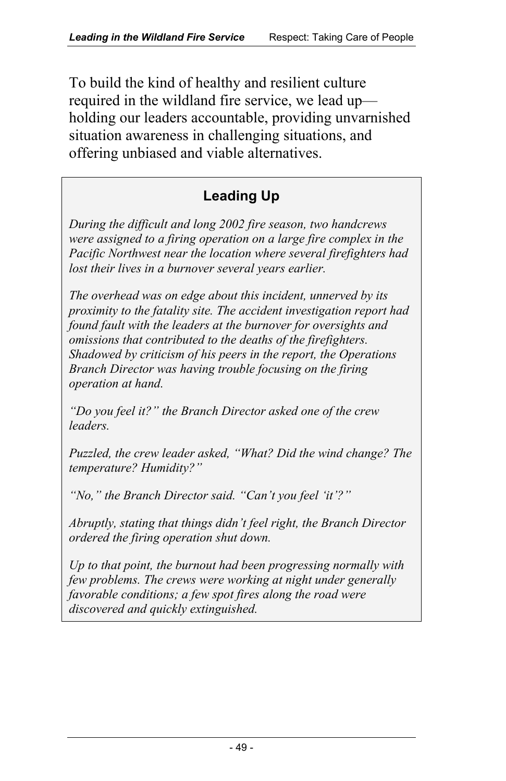To build the kind of healthy and resilient culture required in the wildland fire service, we lead up holding our leaders accountable, providing unvarnished situation awareness in challenging situations, and offering unbiased and viable alternatives.

#### **Leading Up**

*During the difficult and long 2002 fire season, two handcrews were assigned to a firing operation on a large fire complex in the Pacific Northwest near the location where several firefighters had lost their lives in a burnover several years earlier.* 

 *The overhead was on edge about this incident, unnerved by its omissions that contributed to the deaths of the firefighters. proximity to the fatality site. The accident investigation report had found fault with the leaders at the burnover for oversights and Shadowed by criticism of his peers in the report, the Operations Branch Director was having trouble focusing on the firing operation at hand.* 

*"Do you feel it?" the Branch Director asked one of the crew leaders.* 

*Puzzled, the crew leader asked, "What? Did the wind change? The temperature? Humidity?"* 

*"No," the Branch Director said. "Can't you feel 'it'?"* 

*Abruptly, stating that things didn't feel right, the Branch Director ordered the firing operation shut down.* 

 *Up to that point, the burnout had been progressing normally with few problems. The crews were working at night under generally favorable conditions; a few spot fires along the road were discovered and quickly extinguished.*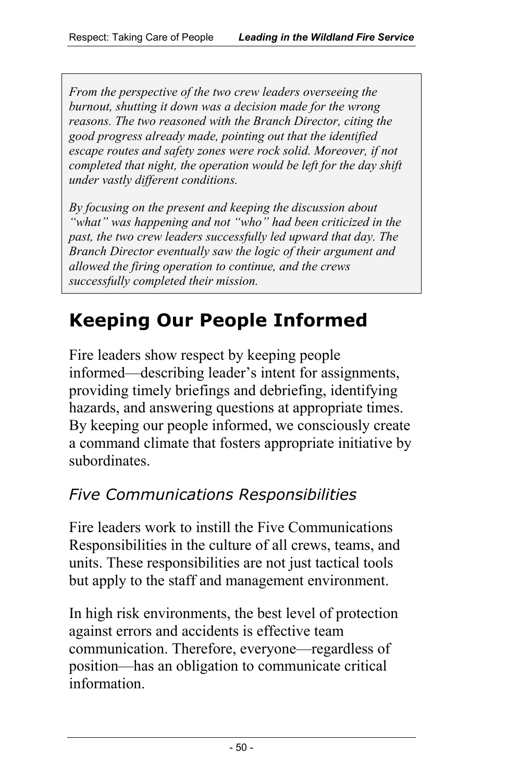*burnout, shutting it down was a decision made for the wrong From the perspective of the two crew leaders overseeing the reasons. The two reasoned with the Branch Director, citing the good progress already made, pointing out that the identified escape routes and safety zones were rock solid. Moreover, if not completed that night, the operation would be left for the day shift under vastly different conditions.* 

*By focusing on the present and keeping the discussion about "what" was happening and not "who" had been criticized in the past, the two crew leaders successfully led upward that day. The Branch Director eventually saw the logic of their argument and allowed the firing operation to continue, and the crews successfully completed their mission.* 

# **Keeping Our People Informed**

Fire leaders show respect by keeping people informed—describing leader's intent for assignments, providing timely briefings and debriefing, identifying hazards, and answering questions at appropriate times. By keeping our people informed, we consciously create a command climate that fosters appropriate initiative by subordinates.

## *Five Communications Responsibilities*

Fire leaders work to instill the Five Communications Responsibilities in the culture of all crews, teams, and units. These responsibilities are not just tactical tools but apply to the staff and management environment.

In high risk environments, the best level of protection against errors and accidents is effective team communication. Therefore, everyone—regardless of position—has an obligation to communicate critical information.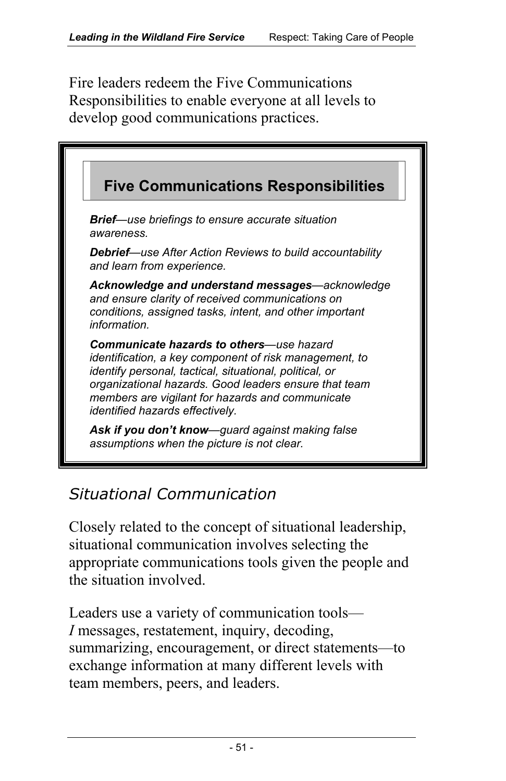Fire leaders redeem the Five Communications Responsibilities to enable everyone at all levels to develop good communications practices.



#### *Situational Communication*

Closely related to the concept of situational leadership, situational communication involves selecting the appropriate communications tools given the people and the situation involved.

Leaders use a variety of communication tools— *I* messages, restatement, inquiry, decoding, summarizing, encouragement, or direct statements—to exchange information at many different levels with team members, peers, and leaders.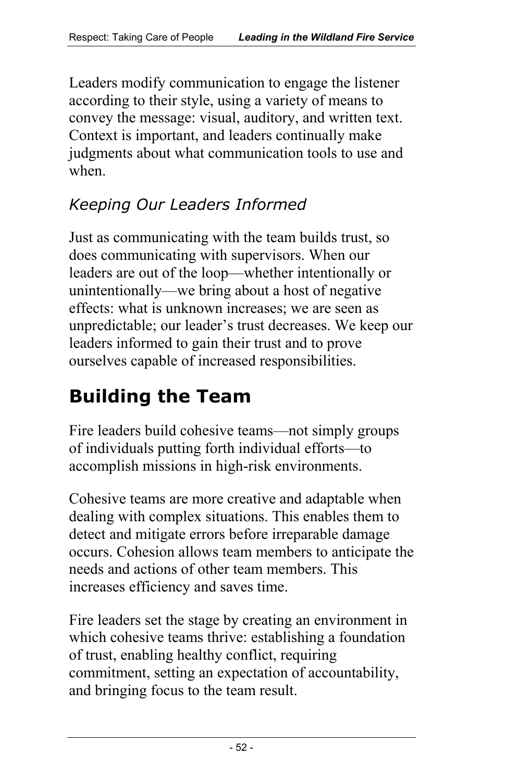Leaders modify communication to engage the listener according to their style, using a variety of means to convey the message: visual, auditory, and written text. Context is important, and leaders continually make judgments about what communication tools to use and when.

## *Keeping Our Leaders Informed*

Just as communicating with the team builds trust, so does communicating with supervisors. When our leaders are out of the loop—whether intentionally or unintentionally—we bring about a host of negative effects: what is unknown increases; we are seen as unpredictable; our leader's trust decreases. We keep our leaders informed to gain their trust and to prove ourselves capable of increased responsibilities.

# **Building the Team**

Fire leaders build cohesive teams—not simply groups of individuals putting forth individual efforts—to accomplish missions in high-risk environments.

Cohesive teams are more creative and adaptable when dealing with complex situations. This enables them to detect and mitigate errors before irreparable damage occurs. Cohesion allows team members to anticipate the needs and actions of other team members. This increases efficiency and saves time.

Fire leaders set the stage by creating an environment in which cohesive teams thrive: establishing a foundation of trust, enabling healthy conflict, requiring commitment, setting an expectation of accountability, and bringing focus to the team result.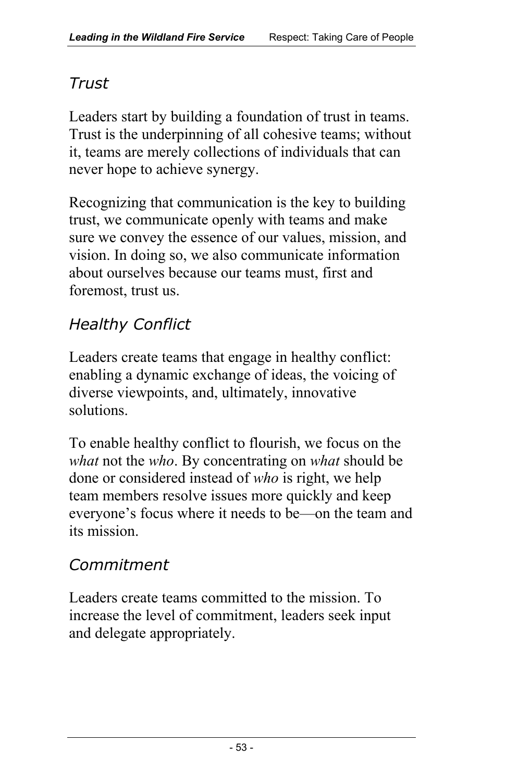#### *Trust*

Leaders start by building a foundation of trust in teams. Trust is the underpinning of all cohesive teams; without it, teams are merely collections of individuals that can never hope to achieve synergy.

Recognizing that communication is the key to building trust, we communicate openly with teams and make sure we convey the essence of our values, mission, and vision. In doing so, we also communicate information about ourselves because our teams must, first and foremost, trust us.

## *Healthy Conflict*

Leaders create teams that engage in healthy conflict: enabling a dynamic exchange of ideas, the voicing of diverse viewpoints, and, ultimately, innovative solutions.

To enable healthy conflict to flourish, we focus on the *what* not the *who*. By concentrating on *what* should be done or considered instead of *who* is right, we help team members resolve issues more quickly and keep everyone's focus where it needs to be—on the team and its mission.

## *Commitment*

Leaders create teams committed to the mission. To increase the level of commitment, leaders seek input and delegate appropriately.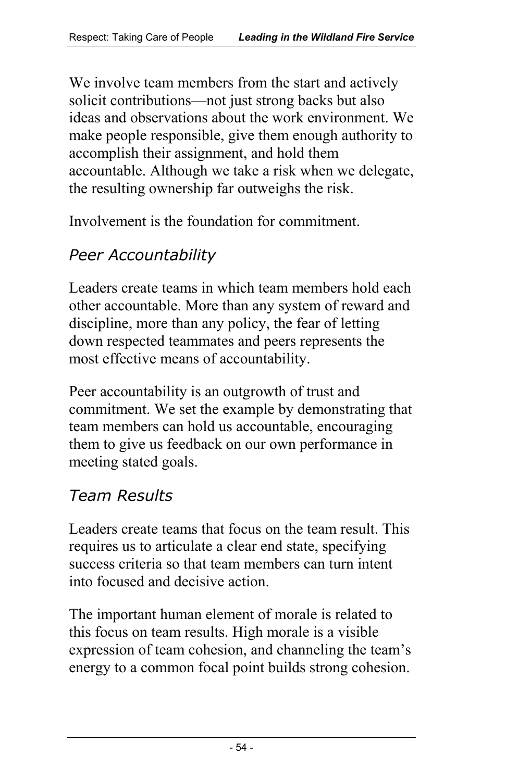We involve team members from the start and actively solicit contributions—not just strong backs but also ideas and observations about the work environment. We make people responsible, give them enough authority to accomplish their assignment, and hold them accountable. Although we take a risk when we delegate, the resulting ownership far outweighs the risk.

Involvement is the foundation for commitment.

## *Peer Accountability*

Leaders create teams in which team members hold each other accountable. More than any system of reward and discipline, more than any policy, the fear of letting down respected teammates and peers represents the most effective means of accountability.

Peer accountability is an outgrowth of trust and commitment. We set the example by demonstrating that team members can hold us accountable, encouraging them to give us feedback on our own performance in meeting stated goals.

## *Team Results*

Leaders create teams that focus on the team result. This requires us to articulate a clear end state, specifying success criteria so that team members can turn intent into focused and decisive action.

The important human element of morale is related to this focus on team results. High morale is a visible expression of team cohesion, and channeling the team's energy to a common focal point builds strong cohesion.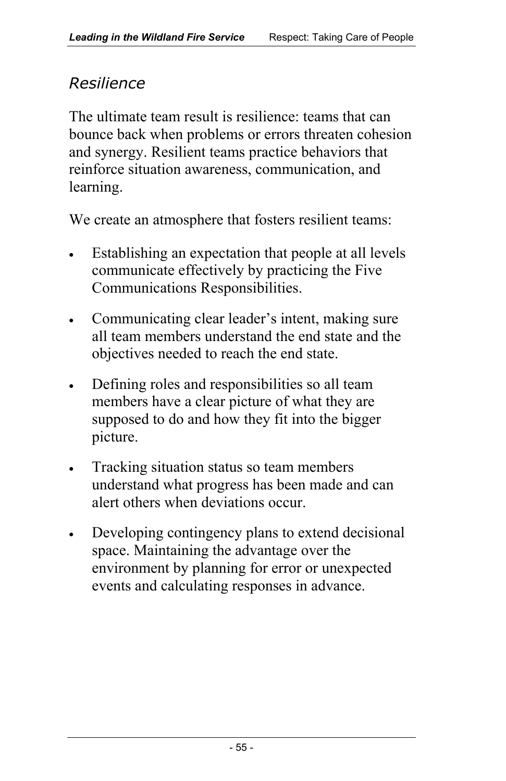#### *Resilience*

The ultimate team result is resilience: teams that can bounce back when problems or errors threaten cohesion and synergy. Resilient teams practice behaviors that reinforce situation awareness, communication, and learning.

We create an atmosphere that fosters resilient teams:

- Establishing an expectation that people at all levels communicate effectively by practicing the Five Communications Responsibilities.
- Communicating clear leader's intent, making sure all team members understand the end state and the objectives needed to reach the end state.
- Defining roles and responsibilities so all team members have a clear picture of what they are supposed to do and how they fit into the bigger picture.
- Tracking situation status so team members understand what progress has been made and can alert others when deviations occur.
- Developing contingency plans to extend decisional space. Maintaining the advantage over the environment by planning for error or unexpected events and calculating responses in advance.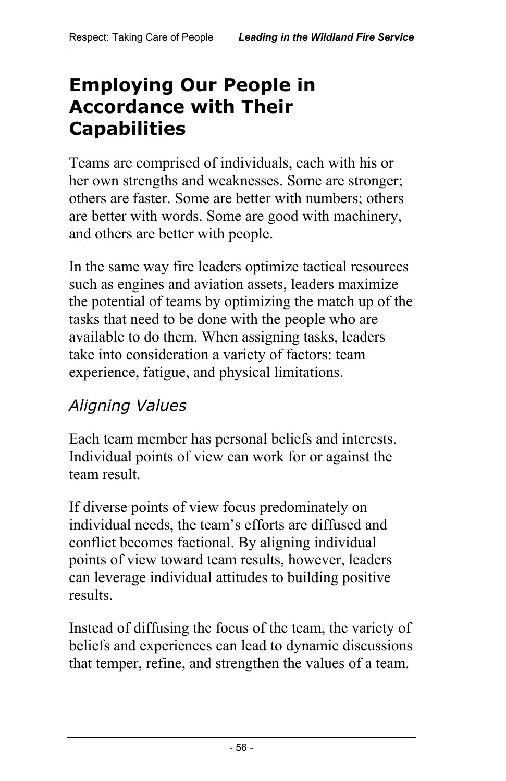## **Employing Our People in Accordance with Their Capabilities**

Teams are comprised of individuals, each with his or her own strengths and weaknesses. Some are stronger; others are faster. Some are better with numbers; others are better with words. Some are good with machinery, and others are better with people.

In the same way fire leaders optimize tactical resources such as engines and aviation assets, leaders maximize the potential of teams by optimizing the match up of the tasks that need to be done with the people who are available to do them. When assigning tasks, leaders take into consideration a variety of factors: team experience, fatigue, and physical limitations.

#### *Aligning Values*

Each team member has personal beliefs and interests. Individual points of view can work for or against the team result.

If diverse points of view focus predominately on individual needs, the team's efforts are diffused and conflict becomes factional. By aligning individual points of view toward team results, however, leaders can leverage individual attitudes to building positive results.

Instead of diffusing the focus of the team, the variety of beliefs and experiences can lead to dynamic discussions that temper, refine, and strengthen the values of a team.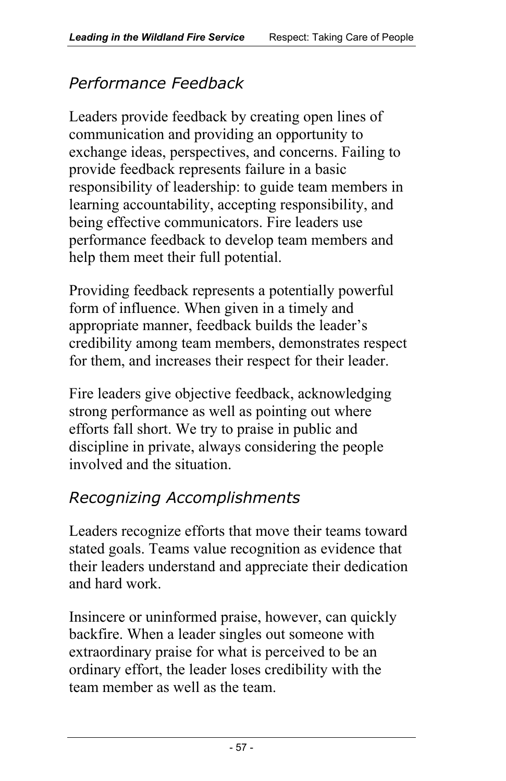## *Performance Feedback*

Leaders provide feedback by creating open lines of communication and providing an opportunity to exchange ideas, perspectives, and concerns. Failing to provide feedback represents failure in a basic responsibility of leadership: to guide team members in learning accountability, accepting responsibility, and being effective communicators. Fire leaders use performance feedback to develop team members and help them meet their full potential.

Providing feedback represents a potentially powerful form of influence. When given in a timely and appropriate manner, feedback builds the leader's credibility among team members, demonstrates respect for them, and increases their respect for their leader.

Fire leaders give objective feedback, acknowledging strong performance as well as pointing out where efforts fall short. We try to praise in public and discipline in private, always considering the people involved and the situation.

## *Recognizing Accomplishments*

Leaders recognize efforts that move their teams toward stated goals. Teams value recognition as evidence that their leaders understand and appreciate their dedication and hard work.

Insincere or uninformed praise, however, can quickly backfire. When a leader singles out someone with extraordinary praise for what is perceived to be an ordinary effort, the leader loses credibility with the team member as well as the team.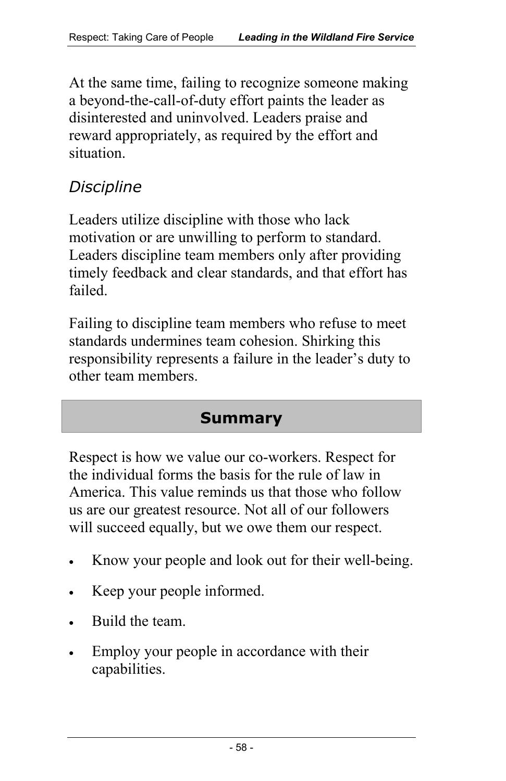At the same time, failing to recognize someone making a beyond-the-call-of-duty effort paints the leader as disinterested and uninvolved. Leaders praise and reward appropriately, as required by the effort and situation.

## *Discipline*

Leaders utilize discipline with those who lack motivation or are unwilling to perform to standard. Leaders discipline team members only after providing timely feedback and clear standards, and that effort has failed.

Failing to discipline team members who refuse to meet standards undermines team cohesion. Shirking this responsibility represents a failure in the leader's duty to other team members.

## **Summary**

Respect is how we value our co-workers. Respect for the individual forms the basis for the rule of law in America. This value reminds us that those who follow us are our greatest resource. Not all of our followers will succeed equally, but we owe them our respect.

- Know your people and look out for their well-being.
- Keep your people informed.
- Build the team.
- Employ your people in accordance with their capabilities.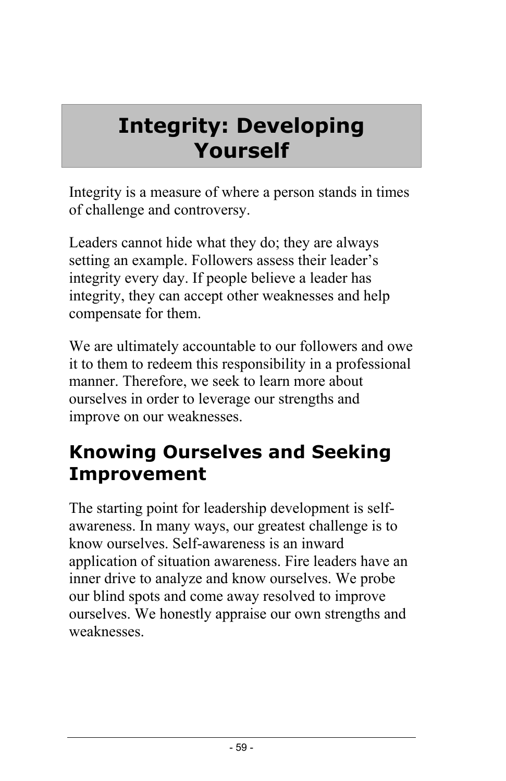# **Integrity: Developing Yourself**

Integrity is a measure of where a person stands in times of challenge and controversy.

Leaders cannot hide what they do; they are always setting an example. Followers assess their leader's integrity every day. If people believe a leader has integrity, they can accept other weaknesses and help compensate for them.

We are ultimately accountable to our followers and owe it to them to redeem this responsibility in a professional manner. Therefore, we seek to learn more about ourselves in order to leverage our strengths and improve on our weaknesses.

# **Knowing Ourselves and Seeking Improvement**

The starting point for leadership development is selfawareness. In many ways, our greatest challenge is to know ourselves. Self-awareness is an inward application of situation awareness. Fire leaders have an inner drive to analyze and know ourselves. We probe our blind spots and come away resolved to improve ourselves. We honestly appraise our own strengths and weaknesses.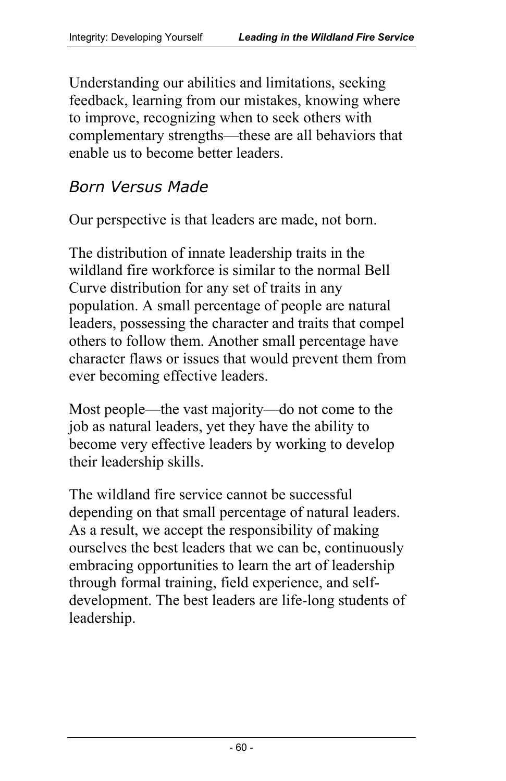Understanding our abilities and limitations, seeking feedback, learning from our mistakes, knowing where to improve, recognizing when to seek others with complementary strengths—these are all behaviors that enable us to become better leaders.

#### *Born Versus Made*

Our perspective is that leaders are made, not born.

The distribution of innate leadership traits in the wildland fire workforce is similar to the normal Bell Curve distribution for any set of traits in any population. A small percentage of people are natural leaders, possessing the character and traits that compel others to follow them. Another small percentage have character flaws or issues that would prevent them from ever becoming effective leaders.

Most people—the vast majority—do not come to the job as natural leaders, yet they have the ability to become very effective leaders by working to develop their leadership skills.

The wildland fire service cannot be successful depending on that small percentage of natural leaders. As a result, we accept the responsibility of making ourselves the best leaders that we can be, continuously embracing opportunities to learn the art of leadership through formal training, field experience, and selfdevelopment. The best leaders are life-long students of leadership.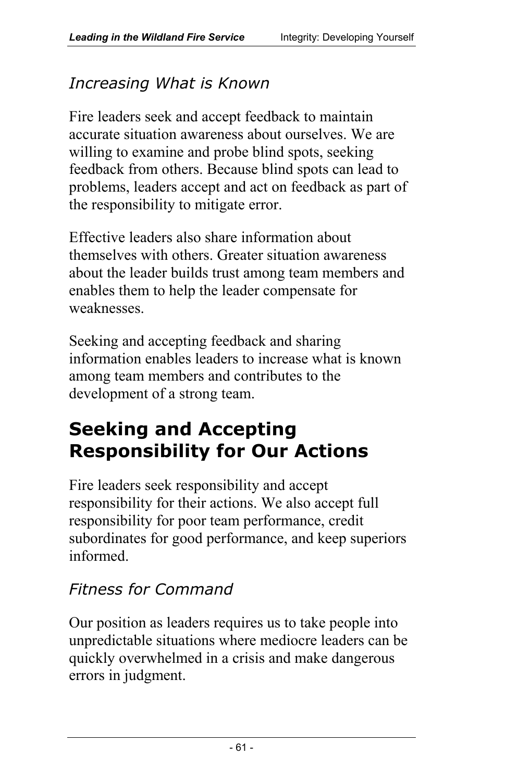## *Increasing What is Known*

Fire leaders seek and accept feedback to maintain accurate situation awareness about ourselves. We are willing to examine and probe blind spots, seeking feedback from others. Because blind spots can lead to problems, leaders accept and act on feedback as part of the responsibility to mitigate error.

Effective leaders also share information about themselves with others. Greater situation awareness about the leader builds trust among team members and enables them to help the leader compensate for weaknesses.

Seeking and accepting feedback and sharing information enables leaders to increase what is known among team members and contributes to the development of a strong team.

# **Seeking and Accepting Responsibility for Our Actions**

Fire leaders seek responsibility and accept responsibility for their actions. We also accept full responsibility for poor team performance, credit subordinates for good performance, and keep superiors informed.

## *Fitness for Command*

Our position as leaders requires us to take people into unpredictable situations where mediocre leaders can be quickly overwhelmed in a crisis and make dangerous errors in judgment.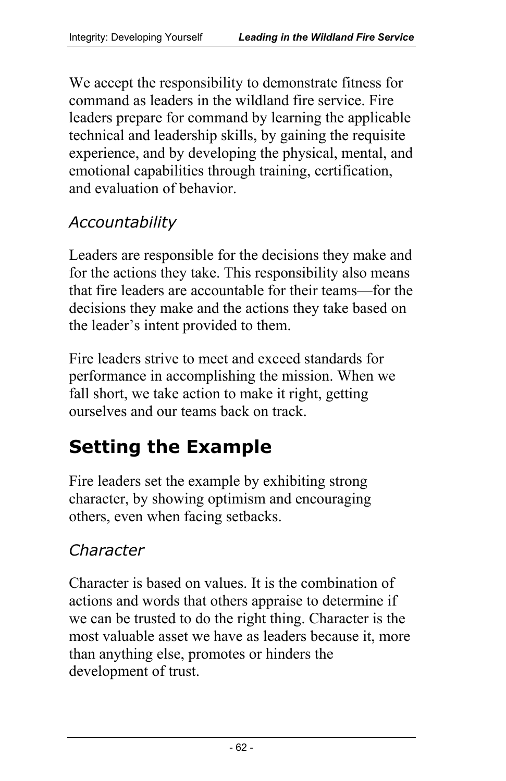We accept the responsibility to demonstrate fitness for command as leaders in the wildland fire service. Fire leaders prepare for command by learning the applicable technical and leadership skills, by gaining the requisite experience, and by developing the physical, mental, and emotional capabilities through training, certification, and evaluation of behavior.

#### *Accountability*

Leaders are responsible for the decisions they make and for the actions they take. This responsibility also means that fire leaders are accountable for their teams—for the decisions they make and the actions they take based on the leader's intent provided to them.

Fire leaders strive to meet and exceed standards for performance in accomplishing the mission. When we fall short, we take action to make it right, getting ourselves and our teams back on track.

## **Setting the Example**

Fire leaders set the example by exhibiting strong character, by showing optimism and encouraging others, even when facing setbacks.

#### *Character*

Character is based on values. It is the combination of actions and words that others appraise to determine if we can be trusted to do the right thing. Character is the most valuable asset we have as leaders because it, more than anything else, promotes or hinders the development of trust.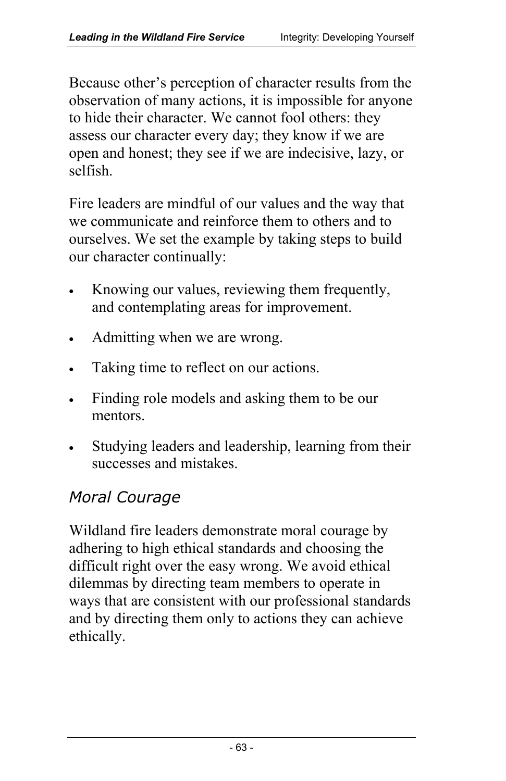Because other's perception of character results from the observation of many actions, it is impossible for anyone to hide their character. We cannot fool others: they assess our character every day; they know if we are open and honest; they see if we are indecisive, lazy, or selfish.

Fire leaders are mindful of our values and the way that we communicate and reinforce them to others and to ourselves. We set the example by taking steps to build our character continually:

- Knowing our values, reviewing them frequently, and contemplating areas for improvement.
- Admitting when we are wrong.
- Taking time to reflect on our actions.
- Finding role models and asking them to be our mentors.
- Studying leaders and leadership, learning from their successes and mistakes.

## *Moral Courage*

Wildland fire leaders demonstrate moral courage by adhering to high ethical standards and choosing the difficult right over the easy wrong. We avoid ethical dilemmas by directing team members to operate in ways that are consistent with our professional standards and by directing them only to actions they can achieve ethically.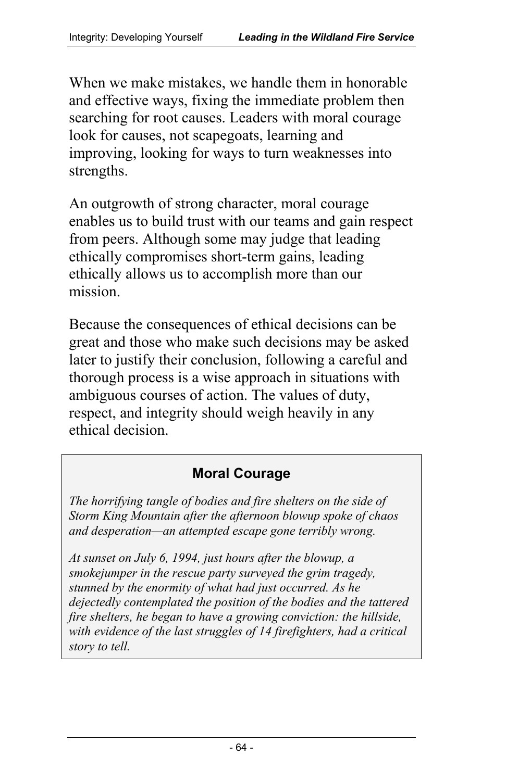When we make mistakes, we handle them in honorable and effective ways, fixing the immediate problem then searching for root causes. Leaders with moral courage look for causes, not scapegoats, learning and improving, looking for ways to turn weaknesses into strengths.

An outgrowth of strong character, moral courage enables us to build trust with our teams and gain respect from peers. Although some may judge that leading ethically compromises short-term gains, leading ethically allows us to accomplish more than our mission.

Because the consequences of ethical decisions can be great and those who make such decisions may be asked later to justify their conclusion, following a careful and thorough process is a wise approach in situations with ambiguous courses of action. The values of duty, respect, and integrity should weigh heavily in any ethical decision.

#### **Moral Courage**

 *The horrifying tangle of bodies and fire shelters on the side of Storm King Mountain after the afternoon blowup spoke of chaos* 

 *and desperation—an attempted escape gone terribly wrong. At sunset on July 6, 1994, just hours after the blowup, a stunned by the enormity of what had just occurred. As he smokejumper in the rescue party surveyed the grim tragedy, dejectedly contemplated the position of the bodies and the tattered fire shelters, he began to have a growing conviction: the hillside, with evidence of the last struggles of 14 firefighters, had a critical story to tell.*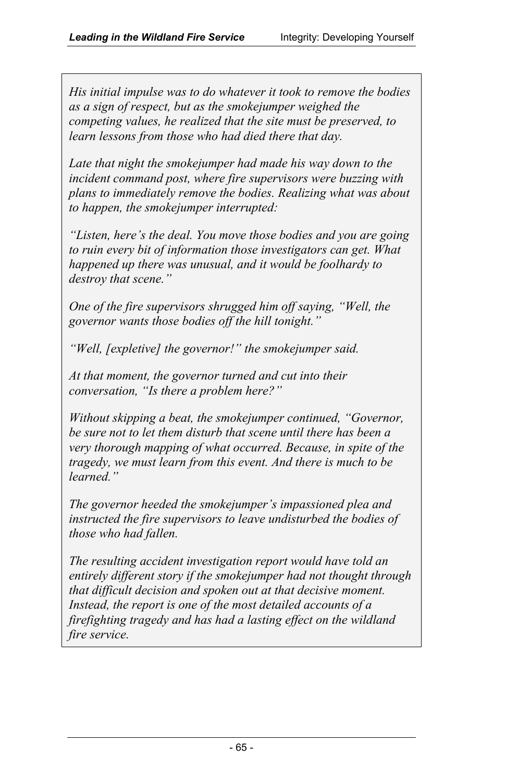*as a sign of respect, but as the smokejumper weighed the learn lessons from those who had died there that day. His initial impulse was to do whatever it took to remove the bodies competing values, he realized that the site must be preserved, to* 

*Late that night the smokejumper had made his way down to the incident command post, where fire supervisors were buzzing with plans to immediately remove the bodies. Realizing what was about to happen, the smokejumper interrupted:* 

*"Listen, here's the deal. You move those bodies and you are going to ruin every bit of information those investigators can get. What happened up there was unusual, and it would be foolhardy to destroy that scene."* 

*One of the fire supervisors shrugged him off saying, "Well, the governor wants those bodies off the hill tonight."* 

*"Well, [expletive] the governor!" the smokejumper said.* 

*conversation, "Is there a problem here?" At that moment, the governor turned and cut into their* 

 *be sure not to let them disturb that scene until there has been a tragedy, we must learn from this event. And there is much to be Without skipping a beat, the smokejumper continued, "Governor, very thorough mapping of what occurred. Because, in spite of the learned."* 

*The governor heeded the smokejumper's impassioned plea and instructed the fire supervisors to leave undisturbed the bodies of those who had fallen.* 

 *Instead, the report is one of the most detailed accounts of a The resulting accident investigation report would have told an entirely different story if the smokejumper had not thought through that difficult decision and spoken out at that decisive moment. firefighting tragedy and has had a lasting effect on the wildland fire service.*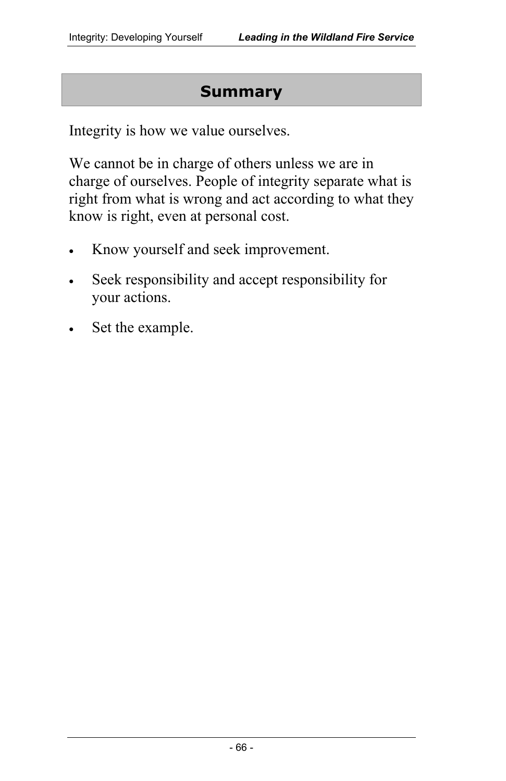#### **Summary**

Integrity is how we value ourselves.

We cannot be in charge of others unless we are in charge of ourselves. People of integrity separate what is right from what is wrong and act according to what they know is right, even at personal cost.

- Know yourself and seek improvement.
- Seek responsibility and accept responsibility for your actions.
- Set the example.